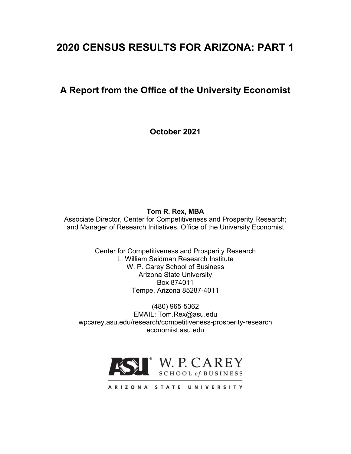# **2020 CENSUS RESULTS FOR ARIZONA: PART 1**

# **A Report from the Office of the University Economist**

**October 2021**

**Tom R. Rex, MBA**

Associate Director, Center for Competitiveness and Prosperity Research; and Manager of Research Initiatives, Office of the University Economist

> Center for Competitiveness and Prosperity Research L. William Seidman Research Institute W. P. Carey School of Business Arizona State University Box 874011 Tempe, Arizona 85287-4011

(480) 965-5362 EMAIL: Tom.Rex@asu.edu wpcarey.asu.edu/research/competitiveness-prosperity-research economist.asu.edu



ARIZONA STATE UNIVERSITY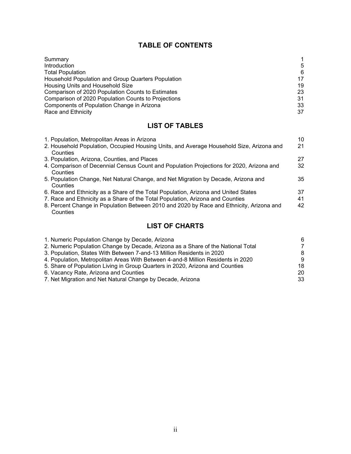## **TABLE OF CONTENTS**

| Summary                                             |    |
|-----------------------------------------------------|----|
| Introduction                                        | .5 |
| <b>Total Population</b>                             | 6  |
| Household Population and Group Quarters Population  | 17 |
| Housing Units and Household Size                    | 19 |
| Comparison of 2020 Population Counts to Estimates   | 23 |
| Comparison of 2020 Population Counts to Projections | 31 |
| Components of Population Change in Arizona          | 33 |
| Race and Ethnicity                                  | 37 |

# **LIST OF TABLES**

| 1. Population, Metropolitan Areas in Arizona                                             | 10 |
|------------------------------------------------------------------------------------------|----|
| 2. Household Population, Occupied Housing Units, and Average Household Size, Arizona and | 21 |
| Counties                                                                                 |    |
| 3. Population, Arizona, Counties, and Places                                             | 27 |
| 4. Comparison of Decennial Census Count and Population Projections for 2020, Arizona and | 32 |
| Counties                                                                                 |    |
| 5. Population Change, Net Natural Change, and Net Migration by Decade, Arizona and       | 35 |
| Counties                                                                                 |    |
| 6. Race and Ethnicity as a Share of the Total Population, Arizona and United States      | 37 |
| 7. Race and Ethnicity as a Share of the Total Population, Arizona and Counties           | 41 |
| 8. Percent Change in Population Between 2010 and 2020 by Race and Ethnicity, Arizona and | 42 |
| Counties                                                                                 |    |

# **LIST OF CHARTS**

| 1. Numeric Population Change by Decade, Arizona                                  | 6  |
|----------------------------------------------------------------------------------|----|
| 2. Numeric Population Change by Decade, Arizona as a Share of the National Total | 7  |
| 3. Population, States With Between 7-and-13 Million Residents in 2020            | 8  |
| 4. Population, Metropolitan Areas With Between 4-and-8 Million Residents in 2020 | -9 |
| 5. Share of Population Living in Group Quarters in 2020, Arizona and Counties    | 18 |
| 6. Vacancy Rate, Arizona and Counties                                            | 20 |
| 7. Net Migration and Net Natural Change by Decade, Arizona                       | 33 |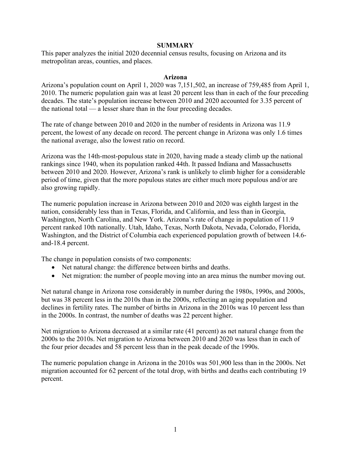#### **SUMMARY**

This paper analyzes the initial 2020 decennial census results, focusing on Arizona and its metropolitan areas, counties, and places.

#### **Arizona**

Arizona's population count on April 1, 2020 was 7,151,502, an increase of 759,485 from April 1, 2010. The numeric population gain was at least 20 percent less than in each of the four preceding decades. The state's population increase between 2010 and 2020 accounted for 3.35 percent of the national total — a lesser share than in the four preceding decades.

The rate of change between 2010 and 2020 in the number of residents in Arizona was 11.9 percent, the lowest of any decade on record. The percent change in Arizona was only 1.6 times the national average, also the lowest ratio on record.

Arizona was the 14th-most-populous state in 2020, having made a steady climb up the national rankings since 1940, when its population ranked 44th. It passed Indiana and Massachusetts between 2010 and 2020. However, Arizona's rank is unlikely to climb higher for a considerable period of time, given that the more populous states are either much more populous and/or are also growing rapidly.

The numeric population increase in Arizona between 2010 and 2020 was eighth largest in the nation, considerably less than in Texas, Florida, and California, and less than in Georgia, Washington, North Carolina, and New York. Arizona's rate of change in population of 11.9 percent ranked 10th nationally. Utah, Idaho, Texas, North Dakota, Nevada, Colorado, Florida, Washington, and the District of Columbia each experienced population growth of between 14.6 and-18.4 percent.

The change in population consists of two components:

- Net natural change: the difference between births and deaths.
- Net migration: the number of people moving into an area minus the number moving out.

Net natural change in Arizona rose considerably in number during the 1980s, 1990s, and 2000s, but was 38 percent less in the 2010s than in the 2000s, reflecting an aging population and declines in fertility rates. The number of births in Arizona in the 2010s was 10 percent less than in the 2000s. In contrast, the number of deaths was 22 percent higher.

Net migration to Arizona decreased at a similar rate (41 percent) as net natural change from the 2000s to the 2010s. Net migration to Arizona between 2010 and 2020 was less than in each of the four prior decades and 58 percent less than in the peak decade of the 1990s.

The numeric population change in Arizona in the 2010s was 501,900 less than in the 2000s. Net migration accounted for 62 percent of the total drop, with births and deaths each contributing 19 percent.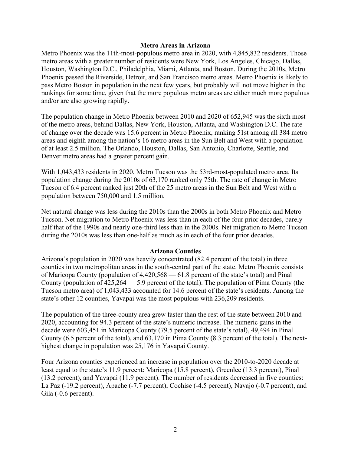#### **Metro Areas in Arizona**

Metro Phoenix was the 11th-most-populous metro area in 2020, with 4,845,832 residents. Those metro areas with a greater number of residents were New York, Los Angeles, Chicago, Dallas, Houston, Washington D.C., Philadelphia, Miami, Atlanta, and Boston. During the 2010s, Metro Phoenix passed the Riverside, Detroit, and San Francisco metro areas. Metro Phoenix is likely to pass Metro Boston in population in the next few years, but probably will not move higher in the rankings for some time, given that the more populous metro areas are either much more populous and/or are also growing rapidly.

The population change in Metro Phoenix between 2010 and 2020 of 652,945 was the sixth most of the metro areas, behind Dallas, New York, Houston, Atlanta, and Washington D.C. The rate of change over the decade was 15.6 percent in Metro Phoenix, ranking 51st among all 384 metro areas and eighth among the nation's 16 metro areas in the Sun Belt and West with a population of at least 2.5 million. The Orlando, Houston, Dallas, San Antonio, Charlotte, Seattle, and Denver metro areas had a greater percent gain.

With 1,043,433 residents in 2020, Metro Tucson was the 53rd-most-populated metro area. Its population change during the 2010s of 63,170 ranked only 75th. The rate of change in Metro Tucson of 6.4 percent ranked just 20th of the 25 metro areas in the Sun Belt and West with a population between 750,000 and 1.5 million.

Net natural change was less during the 2010s than the 2000s in both Metro Phoenix and Metro Tucson. Net migration to Metro Phoenix was less than in each of the four prior decades, barely half that of the 1990s and nearly one-third less than in the 2000s. Net migration to Metro Tucson during the 2010s was less than one-half as much as in each of the four prior decades.

#### **Arizona Counties**

Arizona's population in 2020 was heavily concentrated (82.4 percent of the total) in three counties in two metropolitan areas in the south-central part of the state. Metro Phoenix consists of Maricopa County (population of 4,420,568 — 61.8 percent of the state's total) and Pinal County (population of  $425,264 - 5.9$  percent of the total). The population of Pima County (the Tucson metro area) of 1,043,433 accounted for 14.6 percent of the state's residents. Among the state's other 12 counties, Yavapai was the most populous with 236,209 residents.

The population of the three-county area grew faster than the rest of the state between 2010 and 2020, accounting for 94.3 percent of the state's numeric increase. The numeric gains in the decade were 603,451 in Maricopa County (79.5 percent of the state's total), 49,494 in Pinal County (6.5 percent of the total), and 63,170 in Pima County (8.3 percent of the total). The nexthighest change in population was 25,176 in Yavapai County.

Four Arizona counties experienced an increase in population over the 2010-to-2020 decade at least equal to the state's 11.9 percent: Maricopa (15.8 percent), Greenlee (13.3 percent), Pinal (13.2 percent), and Yavapai (11.9 percent). The number of residents decreased in five counties: La Paz (-19.2 percent), Apache (-7.7 percent), Cochise (-4.5 percent), Navajo (-0.7 percent), and Gila (-0.6 percent).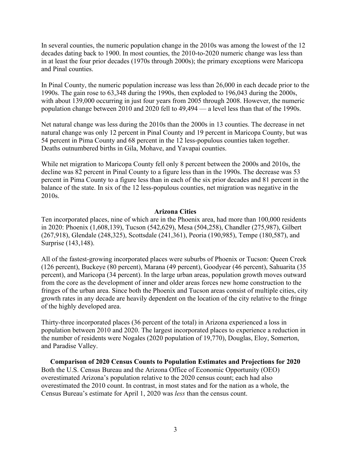In several counties, the numeric population change in the 2010s was among the lowest of the 12 decades dating back to 1900. In most counties, the 2010-to-2020 numeric change was less than in at least the four prior decades (1970s through 2000s); the primary exceptions were Maricopa and Pinal counties.

In Pinal County, the numeric population increase was less than 26,000 in each decade prior to the 1990s. The gain rose to 63,348 during the 1990s, then exploded to 196,043 during the 2000s, with about 139,000 occurring in just four years from 2005 through 2008. However, the numeric population change between 2010 and 2020 fell to 49,494 — a level less than that of the 1990s.

Net natural change was less during the 2010s than the 2000s in 13 counties. The decrease in net natural change was only 12 percent in Pinal County and 19 percent in Maricopa County, but was 54 percent in Pima County and 68 percent in the 12 less-populous counties taken together. Deaths outnumbered births in Gila, Mohave, and Yavapai counties.

While net migration to Maricopa County fell only 8 percent between the 2000s and 2010s, the decline was 82 percent in Pinal County to a figure less than in the 1990s. The decrease was 53 percent in Pima County to a figure less than in each of the six prior decades and 81 percent in the balance of the state. In six of the 12 less-populous counties, net migration was negative in the 2010s.

#### **Arizona Cities**

Ten incorporated places, nine of which are in the Phoenix area, had more than 100,000 residents in 2020: Phoenix (1,608,139), Tucson (542,629), Mesa (504,258), Chandler (275,987), Gilbert (267,918), Glendale (248,325), Scottsdale (241,361), Peoria (190,985), Tempe (180,587), and Surprise (143,148).

All of the fastest-growing incorporated places were suburbs of Phoenix or Tucson: Queen Creek (126 percent), Buckeye (80 percent), Marana (49 percent), Goodyear (46 percent), Sahuarita (35 percent), and Maricopa (34 percent). In the large urban areas, population growth moves outward from the core as the development of inner and older areas forces new home construction to the fringes of the urban area. Since both the Phoenix and Tucson areas consist of multiple cities, city growth rates in any decade are heavily dependent on the location of the city relative to the fringe of the highly developed area.

Thirty-three incorporated places (36 percent of the total) in Arizona experienced a loss in population between 2010 and 2020. The largest incorporated places to experience a reduction in the number of residents were Nogales (2020 population of 19,770), Douglas, Eloy, Somerton, and Paradise Valley.

**Comparison of 2020 Census Counts to Population Estimates and Projections for 2020** Both the U.S. Census Bureau and the Arizona Office of Economic Opportunity (OEO) overestimated Arizona's population relative to the 2020 census count; each had also overestimated the 2010 count. In contrast, in most states and for the nation as a whole, the Census Bureau's estimate for April 1, 2020 was *less* than the census count.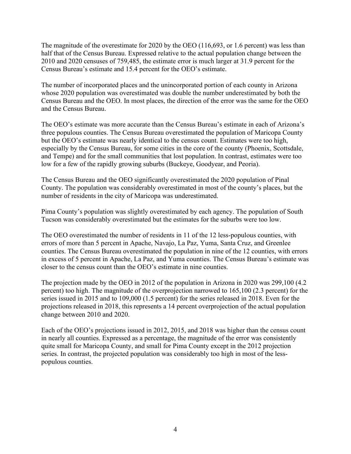The magnitude of the overestimate for 2020 by the OEO (116,693, or 1.6 percent) was less than half that of the Census Bureau. Expressed relative to the actual population change between the 2010 and 2020 censuses of 759,485, the estimate error is much larger at 31.9 percent for the Census Bureau's estimate and 15.4 percent for the OEO's estimate.

The number of incorporated places and the unincorporated portion of each county in Arizona whose 2020 population was overestimated was double the number underestimated by both the Census Bureau and the OEO. In most places, the direction of the error was the same for the OEO and the Census Bureau.

The OEO's estimate was more accurate than the Census Bureau's estimate in each of Arizona's three populous counties. The Census Bureau overestimated the population of Maricopa County but the OEO's estimate was nearly identical to the census count. Estimates were too high, especially by the Census Bureau, for some cities in the core of the county (Phoenix, Scottsdale, and Tempe) and for the small communities that lost population. In contrast, estimates were too low for a few of the rapidly growing suburbs (Buckeye, Goodyear, and Peoria).

The Census Bureau and the OEO significantly overestimated the 2020 population of Pinal County. The population was considerably overestimated in most of the county's places, but the number of residents in the city of Maricopa was underestimated.

Pima County's population was slightly overestimated by each agency. The population of South Tucson was considerably overestimated but the estimates for the suburbs were too low.

The OEO overestimated the number of residents in 11 of the 12 less-populous counties, with errors of more than 5 percent in Apache, Navajo, La Paz, Yuma, Santa Cruz, and Greenlee counties. The Census Bureau overestimated the population in nine of the 12 counties, with errors in excess of 5 percent in Apache, La Paz, and Yuma counties. The Census Bureau's estimate was closer to the census count than the OEO's estimate in nine counties.

The projection made by the OEO in 2012 of the population in Arizona in 2020 was 299,100 (4.2 percent) too high. The magnitude of the overprojection narrowed to 165,100 (2.3 percent) for the series issued in 2015 and to 109,000 (1.5 percent) for the series released in 2018. Even for the projections released in 2018, this represents a 14 percent overprojection of the actual population change between 2010 and 2020.

Each of the OEO's projections issued in 2012, 2015, and 2018 was higher than the census count in nearly all counties. Expressed as a percentage, the magnitude of the error was consistently quite small for Maricopa County, and small for Pima County except in the 2012 projection series. In contrast, the projected population was considerably too high in most of the lesspopulous counties.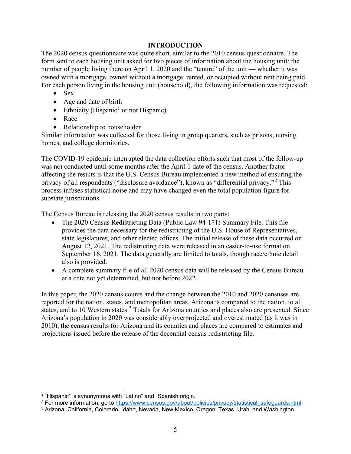#### **INTRODUCTION**

The 2020 census questionnaire was quite short, similar to the 2010 census questionnaire. The form sent to each housing unit asked for two pieces of information about the housing unit: the number of people living there on April 1, 2020 and the "tenure" of the unit — whether it was owned with a mortgage, owned without a mortgage, rented, or occupied without rent being paid. For each person living in the housing unit (household), the following information was requested:

- Sex
- Age and date of birth
- Ethnicity (Hispanic<sup>[1](#page-6-0)</sup> or not Hispanic)
- Race
- Relationship to householder

Similar information was collected for those living in group quarters, such as prisons, nursing homes, and college dormitories.

The COVID-19 epidemic interrupted the data collection efforts such that most of the follow-up was not conducted until some months after the April 1 date of the census. Another factor affecting the results is that the U.S. Census Bureau implemented a new method of ensuring the privacy of all respondents ("disclosure avoidance"), known as "differential privacy."[2](#page-6-1) This process infuses statistical noise and may have changed even the total population figure for substate jurisdictions.

The Census Bureau is releasing the 2020 census results in two parts:

- The 2020 Census Redistricting Data (Public Law 94-171) Summary File. This file provides the data necessary for the redistricting of the U.S. House of Representatives, state legislatures, and other elected offices. The initial release of these data occurred on August 12, 2021. The redistricting data were released in an easier-to-use format on September 16, 2021. The data generally are limited to totals, though race/ethnic detail also is provided.
- A complete summary file of all 2020 census data will be released by the Census Bureau at a date not yet determined, but not before 2022.

In this paper, the 2020 census counts and the change between the 2010 and 2020 censuses are reported for the nation, states, and metropolitan areas. Arizona is compared to the nation, to all states, and to 10 Western states.<sup>[3](#page-6-2)</sup> Totals for Arizona counties and places also are presented. Since Arizona's population in 2020 was considerably overprojected and overestimated (as it was in 2010), the census results for Arizona and its counties and places are compared to estimates and projections issued before the release of the decennial census redistricting file.

<span id="page-6-0"></span><sup>1</sup> "Hispanic" is synonymous with "Latino" and "Spanish origin."

<span id="page-6-1"></span><sup>&</sup>lt;sup>2</sup> For more information, go to https://www.census.gov/about/policies/privacy/statistical safequards.html.

<span id="page-6-2"></span><sup>3</sup> Arizona, California, Colorado, Idaho, Nevada, New Mexico, Oregon, Texas, Utah, and Washington.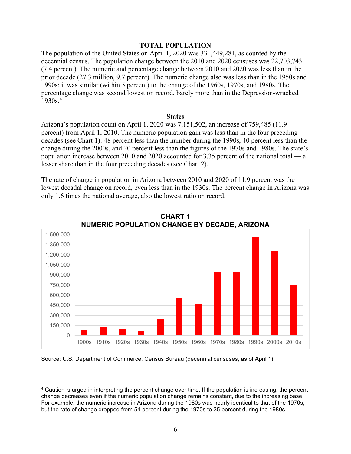#### **TOTAL POPULATION**

The population of the United States on April 1, 2020 was 331,449,281, as counted by the decennial census. The population change between the 2010 and 2020 censuses was 22,703,743 (7.4 percent). The numeric and percentage change between 2010 and 2020 was less than in the prior decade (27.3 million, 9.7 percent). The numeric change also was less than in the 1950s and 1990s; it was similar (within 5 percent) to the change of the 1960s, 1970s, and 1980s. The percentage change was second lowest on record, barely more than in the Depression-wracked 1930s. [4](#page-7-0)

#### **States**

Arizona's population count on April 1, 2020 was 7,151,502, an increase of 759,485 (11.9 percent) from April 1, 2010. The numeric population gain was less than in the four preceding decades (see Chart 1): 48 percent less than the number during the 1990s, 40 percent less than the change during the 2000s, and 20 percent less than the figures of the 1970s and 1980s. The state's population increase between 2010 and 2020 accounted for 3.35 percent of the national total — a lesser share than in the four preceding decades (see Chart 2).

The rate of change in population in Arizona between 2010 and 2020 of 11.9 percent was the lowest decadal change on record, even less than in the 1930s. The percent change in Arizona was only 1.6 times the national average, also the lowest ratio on record.



#### **CHART 1 NUMERIC POPULATION CHANGE BY DECADE, ARIZONA**

Source: U.S. Department of Commerce, Census Bureau (decennial censuses, as of April 1).

<span id="page-7-0"></span><sup>4</sup> Caution is urged in interpreting the percent change over time. If the population is increasing, the percent change decreases even if the numeric population change remains constant, due to the increasing base. For example, the numeric increase in Arizona during the 1980s was nearly identical to that of the 1970s, but the rate of change dropped from 54 percent during the 1970s to 35 percent during the 1980s.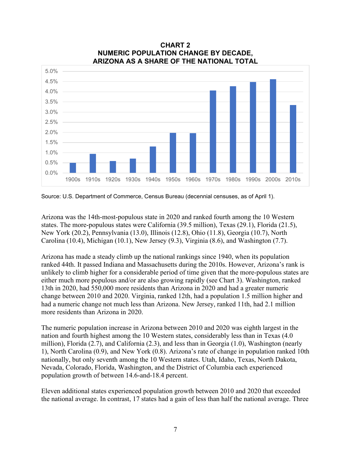

#### **CHART 2 NUMERIC POPULATION CHANGE BY DECADE, ARIZONA AS A SHARE OF THE NATIONAL TOTAL**

Source: U.S. Department of Commerce, Census Bureau (decennial censuses, as of April 1).

Arizona was the 14th-most-populous state in 2020 and ranked fourth among the 10 Western states. The more-populous states were California (39.5 million), Texas (29.1), Florida (21.5), New York (20.2), Pennsylvania (13.0), Illinois (12.8), Ohio (11.8), Georgia (10.7), North Carolina (10.4), Michigan (10.1), New Jersey (9.3), Virginia (8.6), and Washington (7.7).

Arizona has made a steady climb up the national rankings since 1940, when its population ranked 44th. It passed Indiana and Massachusetts during the 2010s. However, Arizona's rank is unlikely to climb higher for a considerable period of time given that the more-populous states are either much more populous and/or are also growing rapidly (see Chart 3). Washington, ranked 13th in 2020, had 550,000 more residents than Arizona in 2020 and had a greater numeric change between 2010 and 2020. Virginia, ranked 12th, had a population 1.5 million higher and had a numeric change not much less than Arizona. New Jersey, ranked 11th, had 2.1 million more residents than Arizona in 2020.

The numeric population increase in Arizona between 2010 and 2020 was eighth largest in the nation and fourth highest among the 10 Western states, considerably less than in Texas (4.0 million), Florida (2.7), and California (2.3), and less than in Georgia (1.0), Washington (nearly 1), North Carolina (0.9), and New York (0.8). Arizona's rate of change in population ranked 10th nationally, but only seventh among the 10 Western states. Utah, Idaho, Texas, North Dakota, Nevada, Colorado, Florida, Washington, and the District of Columbia each experienced population growth of between 14.6-and-18.4 percent.

Eleven additional states experienced population growth between 2010 and 2020 that exceeded the national average. In contrast, 17 states had a gain of less than half the national average. Three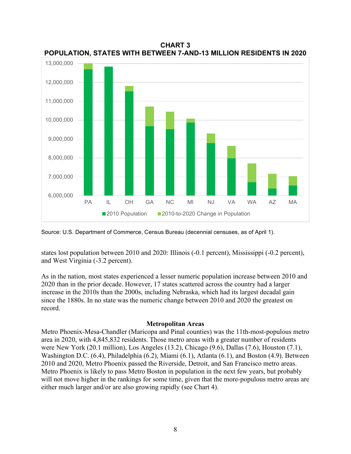

**CHART 3 POPULATION, STATES WITH BETWEEN 7-AND-13 MILLION RESIDENTS IN 2020**

Source: U.S. Department of Commerce, Census Bureau (decennial censuses, as of April 1).

states lost population between 2010 and 2020: Illinois (-0.1 percent), Mississippi (-0.2 percent), and West Virginia (-3.2 percent).

As in the nation, most states experienced a lesser numeric population increase between 2010 and 2020 than in the prior decade. However, 17 states scattered across the country had a larger increase in the 2010s than the 2000s, including Nebraska, which had its largest decadal gain since the 1880s. In no state was the numeric change between 2010 and 2020 the greatest on record.

#### **Metropolitan Areas**

Metro Phoenix-Mesa-Chandler (Maricopa and Pinal counties) was the 11th-most-populous metro area in 2020, with 4,845,832 residents. Those metro areas with a greater number of residents were New York (20.1 million), Los Angeles (13.2), Chicago (9.6), Dallas (7.6), Houston (7.1), Washington D.C. (6.4), Philadelphia (6.2), Miami (6.1), Atlanta (6.1), and Boston (4.9). Between 2010 and 2020, Metro Phoenix passed the Riverside, Detroit, and San Francisco metro areas. Metro Phoenix is likely to pass Metro Boston in population in the next few years, but probably will not move higher in the rankings for some time, given that the more-populous metro areas are either much larger and/or are also growing rapidly (see Chart 4).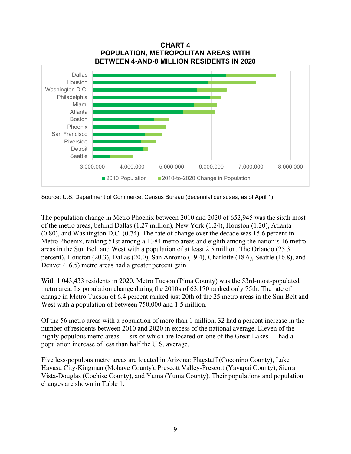

**CHART 4 POPULATION, METROPOLITAN AREAS WITH BETWEEN 4-AND-8 MILLION RESIDENTS IN 2020**

Source: U.S. Department of Commerce, Census Bureau (decennial censuses, as of April 1).

The population change in Metro Phoenix between 2010 and 2020 of 652,945 was the sixth most of the metro areas, behind Dallas (1.27 million), New York (1.24), Houston (1.20), Atlanta (0.80), and Washington D.C. (0.74). The rate of change over the decade was 15.6 percent in Metro Phoenix, ranking 51st among all 384 metro areas and eighth among the nation's 16 metro areas in the Sun Belt and West with a population of at least 2.5 million. The Orlando (25.3 percent), Houston (20.3), Dallas (20.0), San Antonio (19.4), Charlotte (18.6), Seattle (16.8), and Denver (16.5) metro areas had a greater percent gain.

With 1,043,433 residents in 2020, Metro Tucson (Pima County) was the 53rd-most-populated metro area. Its population change during the 2010s of 63,170 ranked only 75th. The rate of change in Metro Tucson of 6.4 percent ranked just 20th of the 25 metro areas in the Sun Belt and West with a population of between 750,000 and 1.5 million.

Of the 56 metro areas with a population of more than 1 million, 32 had a percent increase in the number of residents between 2010 and 2020 in excess of the national average. Eleven of the highly populous metro areas — six of which are located on one of the Great Lakes — had a population increase of less than half the U.S. average.

Five less-populous metro areas are located in Arizona: Flagstaff (Coconino County), Lake Havasu City-Kingman (Mohave County), Prescott Valley-Prescott (Yavapai County), Sierra Vista-Douglas (Cochise County), and Yuma (Yuma County). Their populations and population changes are shown in Table 1.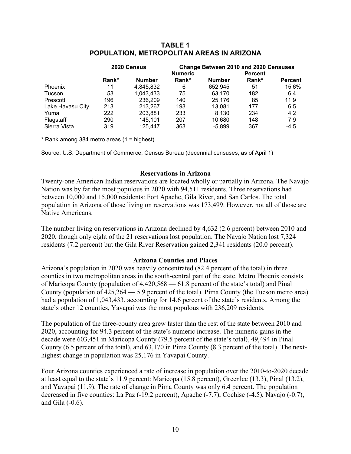#### **TABLE 1 POPULATION, METROPOLITAN AREAS IN ARIZONA**

|                  |       | 2020 Census   | Change Between 2010 and 2020 Censuses |               |                |                |  |  |
|------------------|-------|---------------|---------------------------------------|---------------|----------------|----------------|--|--|
|                  |       |               | <b>Numeric</b>                        |               | <b>Percent</b> |                |  |  |
|                  | Rank* | <b>Number</b> | Rank*                                 | <b>Number</b> | Rank*          | <b>Percent</b> |  |  |
| Phoenix          | 11    | 4,845,832     | 6                                     | 652,945       | 51             | 15.6%          |  |  |
| Tucson           | 53    | 1,043,433     | 75                                    | 63.170        | 182            | 6.4            |  |  |
| Prescott         | 196   | 236,209       | 140                                   | 25.176        | 85             | 11.9           |  |  |
| Lake Havasu City | 213   | 213,267       | 193                                   | 13,081        | 177            | 6.5            |  |  |
| Yuma             | 222   | 203,881       | 233                                   | 8,130         | 234            | 4.2            |  |  |
| Flagstaff        | 290   | 145.101       | 207                                   | 10.680        | 148            | 7.9            |  |  |
| Sierra Vista     | 319   | 125.447       | 363                                   | $-5.899$      | 367            | $-4.5$         |  |  |

 $*$  Rank among 384 metro areas (1 = highest).

Source: U.S. Department of Commerce, Census Bureau (decennial censuses, as of April 1)

#### **Reservations in Arizona**

Twenty-one American Indian reservations are located wholly or partially in Arizona. The Navajo Nation was by far the most populous in 2020 with 94,511 residents. Three reservations had between 10,000 and 15,000 residents: Fort Apache, Gila River, and San Carlos. The total population in Arizona of those living on reservations was 173,499. However, not all of those are Native Americans.

The number living on reservations in Arizona declined by 4,632 (2.6 percent) between 2010 and 2020, though only eight of the 21 reservations lost population. The Navajo Nation lost 7,324 residents (7.2 percent) but the Gila River Reservation gained 2,341 residents (20.0 percent).

#### **Arizona Counties and Places**

Arizona's population in 2020 was heavily concentrated (82.4 percent of the total) in three counties in two metropolitan areas in the south-central part of the state. Metro Phoenix consists of Maricopa County (population of 4,420,568 — 61.8 percent of the state's total) and Pinal County (population of 425,264 — 5.9 percent of the total). Pima County (the Tucson metro area) had a population of 1,043,433, accounting for 14.6 percent of the state's residents. Among the state's other 12 counties, Yavapai was the most populous with 236,209 residents.

The population of the three-county area grew faster than the rest of the state between 2010 and 2020, accounting for 94.3 percent of the state's numeric increase. The numeric gains in the decade were 603,451 in Maricopa County (79.5 percent of the state's total), 49,494 in Pinal County (6.5 percent of the total), and 63,170 in Pima County (8.3 percent of the total). The nexthighest change in population was 25,176 in Yavapai County.

Four Arizona counties experienced a rate of increase in population over the 2010-to-2020 decade at least equal to the state's 11.9 percent: Maricopa (15.8 percent), Greenlee (13.3), Pinal (13.2), and Yavapai (11.9). The rate of change in Pima County was only 6.4 percent. The population decreased in five counties: La Paz (-19.2 percent), Apache (-7.7), Cochise (-4.5), Navajo (-0.7), and Gila (-0.6).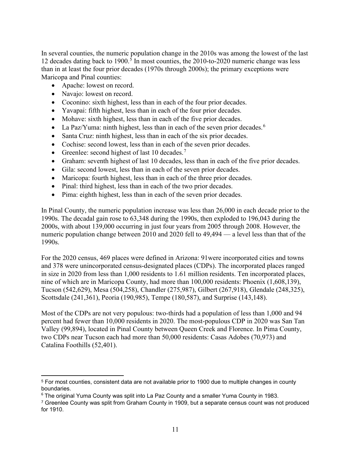In several counties, the numeric population change in the 2010s was among the lowest of the last 12 decades dating back to 1900. [5](#page-12-0) In most counties, the 2010-to-2020 numeric change was less than in at least the four prior decades (1970s through 2000s); the primary exceptions were Maricopa and Pinal counties:

- Apache: lowest on record.
- Navajo: lowest on record.
- Coconino: sixth highest, less than in each of the four prior decades.
- Yavapai: fifth highest, less than in each of the four prior decades.
- Mohave: sixth highest, less than in each of the five prior decades.
- La Paz/Yuma: ninth highest, less than in each of the seven prior decades.<sup>[6](#page-12-1)</sup>
- Santa Cruz: ninth highest, less than in each of the six prior decades.
- Cochise: second lowest, less than in each of the seven prior decades.
- Greenlee: second highest of last 10 decades.<sup>[7](#page-12-2)</sup>
- Graham: seventh highest of last 10 decades, less than in each of the five prior decades.
- Gila: second lowest, less than in each of the seven prior decades.
- Maricopa: fourth highest, less than in each of the three prior decades.
- Pinal: third highest, less than in each of the two prior decades.
- Pima: eighth highest, less than in each of the seven prior decades.

In Pinal County, the numeric population increase was less than 26,000 in each decade prior to the 1990s. The decadal gain rose to 63,348 during the 1990s, then exploded to 196,043 during the 2000s, with about 139,000 occurring in just four years from 2005 through 2008. However, the numeric population change between 2010 and 2020 fell to 49,494 — a level less than that of the 1990s.

For the 2020 census, 469 places were defined in Arizona: 91were incorporated cities and towns and 378 were unincorporated census-designated places (CDPs). The incorporated places ranged in size in 2020 from less than 1,000 residents to 1.61 million residents. Ten incorporated places, nine of which are in Maricopa County, had more than 100,000 residents: Phoenix (1,608,139), Tucson (542,629), Mesa (504,258), Chandler (275,987), Gilbert (267,918), Glendale (248,325), Scottsdale (241,361), Peoria (190,985), Tempe (180,587), and Surprise (143,148).

Most of the CDPs are not very populous: two-thirds had a population of less than 1,000 and 94 percent had fewer than 10,000 residents in 2020. The most-populous CDP in 2020 was San Tan Valley (99,894), located in Pinal County between Queen Creek and Florence. In Pima County, two CDPs near Tucson each had more than 50,000 residents: Casas Adobes (70,973) and Catalina Foothills (52,401).

<span id="page-12-0"></span><sup>5</sup> For most counties, consistent data are not available prior to 1900 due to multiple changes in county boundaries.

<span id="page-12-1"></span><sup>6</sup> The original Yuma County was split into La Paz County and a smaller Yuma County in 1983.

<span id="page-12-2"></span><sup>&</sup>lt;sup>7</sup> Greenlee County was split from Graham County in 1909, but a separate census count was not produced for 1910.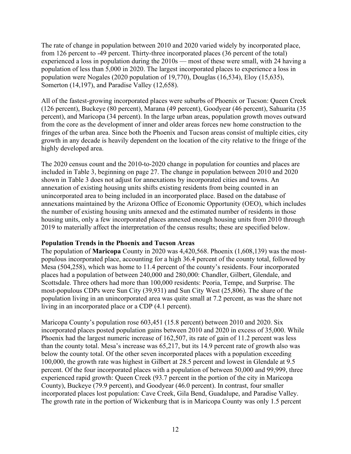The rate of change in population between 2010 and 2020 varied widely by incorporated place, from 126 percent to -49 percent. Thirty-three incorporated places (36 percent of the total) experienced a loss in population during the 2010s — most of these were small, with 24 having a population of less than 5,000 in 2020. The largest incorporated places to experience a loss in population were Nogales (2020 population of 19,770), Douglas (16,534), Eloy (15,635), Somerton (14,197), and Paradise Valley (12,658).

All of the fastest-growing incorporated places were suburbs of Phoenix or Tucson: Queen Creek (126 percent), Buckeye (80 percent), Marana (49 percent), Goodyear (46 percent), Sahuarita (35 percent), and Maricopa (34 percent). In the large urban areas, population growth moves outward from the core as the development of inner and older areas forces new home construction to the fringes of the urban area. Since both the Phoenix and Tucson areas consist of multiple cities, city growth in any decade is heavily dependent on the location of the city relative to the fringe of the highly developed area.

The 2020 census count and the 2010-to-2020 change in population for counties and places are included in Table 3, beginning on page 27. The change in population between 2010 and 2020 shown in Table 3 does not adjust for annexations by incorporated cities and towns. An annexation of existing housing units shifts existing residents from being counted in an unincorporated area to being included in an incorporated place. Based on the database of annexations maintained by the Arizona Office of Economic Opportunity (OEO), which includes the number of existing housing units annexed and the estimated number of residents in those housing units, only a few incorporated places annexed enough housing units from 2010 through 2019 to materially affect the interpretation of the census results; these are specified below.

#### **Population Trends in the Phoenix and Tucson Areas**

The population of **Maricopa** County in 2020 was 4,420,568. Phoenix (1,608,139) was the mostpopulous incorporated place, accounting for a high 36.4 percent of the county total, followed by Mesa (504,258), which was home to 11.4 percent of the county's residents. Four incorporated places had a population of between 240,000 and 280,000: Chandler, Gilbert, Glendale, and Scottsdale. Three others had more than 100,000 residents: Peoria, Tempe, and Surprise. The most-populous CDPs were Sun City (39,931) and Sun City West (25,806). The share of the population living in an unincorporated area was quite small at 7.2 percent, as was the share not living in an incorporated place or a CDP (4.1 percent).

Maricopa County's population rose 603,451 (15.8 percent) between 2010 and 2020. Six incorporated places posted population gains between 2010 and 2020 in excess of 35,000. While Phoenix had the largest numeric increase of 162,507, its rate of gain of 11.2 percent was less than the county total. Mesa's increase was 65,217, but its 14.9 percent rate of growth also was below the county total. Of the other seven incorporated places with a population exceeding 100,000, the growth rate was highest in Gilbert at 28.5 percent and lowest in Glendale at 9.5 percent. Of the four incorporated places with a population of between 50,000 and 99,999, three experienced rapid growth: Queen Creek (93.7 percent in the portion of the city in Maricopa County), Buckeye (79.9 percent), and Goodyear (46.0 percent). In contrast, four smaller incorporated places lost population: Cave Creek, Gila Bend, Guadalupe, and Paradise Valley. The growth rate in the portion of Wickenburg that is in Maricopa County was only 1.5 percent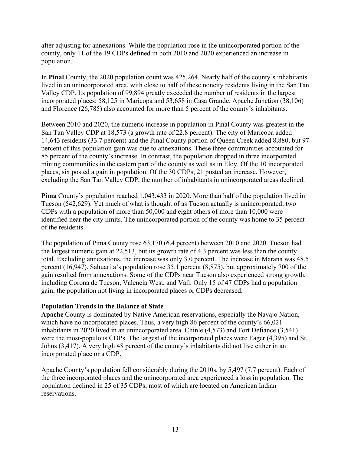after adjusting for annexations. While the population rose in the unincorporated portion of the county, only 11 of the 19 CDPs defined in both 2010 and 2020 experienced an increase in population.

In **Pinal** County, the 2020 population count was 425,264. Nearly half of the county's inhabitants lived in an unincorporated area, with close to half of these noncity residents living in the San Tan Valley CDP. Its population of 99,894 greatly exceeded the number of residents in the largest incorporated places: 58,125 in Maricopa and 53,658 in Casa Grande. Apache Junction (38,106) and Florence (26,785) also accounted for more than 5 percent of the county's inhabitants.

Between 2010 and 2020, the numeric increase in population in Pinal County was greatest in the San Tan Valley CDP at 18,573 (a growth rate of 22.8 percent). The city of Maricopa added 14,643 residents (33.7 percent) and the Pinal County portion of Queen Creek added 8,880, but 97 percent of this population gain was due to annexations. These three communities accounted for 85 percent of the county's increase. In contrast, the population dropped in three incorporated mining communities in the eastern part of the county as well as in Eloy. Of the 10 incorporated places, six posted a gain in population. Of the 30 CDPs, 21 posted an increase. However, excluding the San Tan Valley CDP, the number of inhabitants in unincorporated areas declined.

**Pima** County's population reached 1,043,433 in 2020. More than half of the population lived in Tucson (542,629). Yet much of what is thought of as Tucson actually is unincorporated; two CDPs with a population of more than 50,000 and eight others of more than 10,000 were identified near the city limits. The unincorporated portion of the county was home to 35 percent of the residents.

The population of Pima County rose 63,170 (6.4 percent) between 2010 and 2020. Tucson had the largest numeric gain at 22,513, but its growth rate of 4.3 percent was less than the county total. Excluding annexations, the increase was only 3.0 percent. The increase in Marana was 48.5 percent (16,947). Sahuarita's population rose 35.1 percent (8,875), but approximately 700 of the gain resulted from annexations. Some of the CDPs near Tucson also experienced strong growth, including Corona de Tucson, Valencia West, and Vail. Only 15 of 47 CDPs had a population gain; the population not living in incorporated places or CDPs decreased.

#### **Population Trends in the Balance of State**

**Apache** County is dominated by Native American reservations, especially the Navajo Nation, which have no incorporated places. Thus, a very high 86 percent of the county's 66,021 inhabitants in 2020 lived in an unincorporated area. Chinle (4,573) and Fort Defiance (3,541) were the most-populous CDPs. The largest of the incorporated places were Eager (4,395) and St. Johns (3,417). A very high 48 percent of the county's inhabitants did not live either in an incorporated place or a CDP.

Apache County's population fell considerably during the 2010s, by 5,497 (7.7 percent). Each of the three incorporated places and the unincorporated area experienced a loss in population. The population declined in 25 of 35 CDPs, most of which are located on American Indian reservations.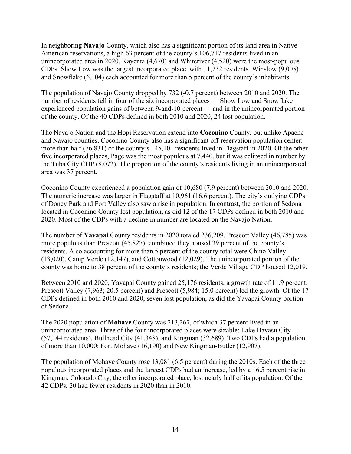In neighboring **Navajo** County, which also has a significant portion of its land area in Native American reservations, a high 63 percent of the county's 106,717 residents lived in an unincorporated area in 2020. Kayenta (4,670) and Whiteriver (4,520) were the most-populous CDPs. Show Low was the largest incorporated place, with 11,732 residents. Winslow (9,005) and Snowflake (6,104) each accounted for more than 5 percent of the county's inhabitants.

The population of Navajo County dropped by 732 (-0.7 percent) between 2010 and 2020. The number of residents fell in four of the six incorporated places — Show Low and Snowflake experienced population gains of between 9-and-10 percent — and in the unincorporated portion of the county. Of the 40 CDPs defined in both 2010 and 2020, 24 lost population.

The Navajo Nation and the Hopi Reservation extend into **Coconino** County, but unlike Apache and Navajo counties, Coconino County also has a significant off-reservation population center: more than half (76,831) of the county's 145,101 residents lived in Flagstaff in 2020. Of the other five incorporated places, Page was the most populous at 7,440, but it was eclipsed in number by the Tuba City CDP (8,072). The proportion of the county's residents living in an unincorporated area was 37 percent.

Coconino County experienced a population gain of 10,680 (7.9 percent) between 2010 and 2020. The numeric increase was larger in Flagstaff at 10,961 (16.6 percent). The city's outlying CDPs of Doney Park and Fort Valley also saw a rise in population. In contrast, the portion of Sedona located in Coconino County lost population, as did 12 of the 17 CDPs defined in both 2010 and 2020. Most of the CDPs with a decline in number are located on the Navajo Nation.

The number of **Yavapai** County residents in 2020 totaled 236,209. Prescott Valley (46,785) was more populous than Prescott (45,827); combined they housed 39 percent of the county's residents. Also accounting for more than 5 percent of the county total were Chino Valley (13,020), Camp Verde (12,147), and Cottonwood (12,029). The unincorporated portion of the county was home to 38 percent of the county's residents; the Verde Village CDP housed 12,019.

Between 2010 and 2020, Yavapai County gained 25,176 residents, a growth rate of 11.9 percent. Prescott Valley (7,963; 20.5 percent) and Prescott (5,984; 15.0 percent) led the growth. Of the 17 CDPs defined in both 2010 and 2020, seven lost population, as did the Yavapai County portion of Sedona.

The 2020 population of **Mohave** County was 213,267, of which 37 percent lived in an unincorporated area. Three of the four incorporated places were sizable: Lake Havasu City (57,144 residents), Bullhead City (41,348), and Kingman (32,689). Two CDPs had a population of more than 10,000: Fort Mohave (16,190) and New Kingman-Butler (12,907).

The population of Mohave County rose 13,081 (6.5 percent) during the 2010s. Each of the three populous incorporated places and the largest CDPs had an increase, led by a 16.5 percent rise in Kingman. Colorado City, the other incorporated place, lost nearly half of its population. Of the 42 CDPs, 20 had fewer residents in 2020 than in 2010.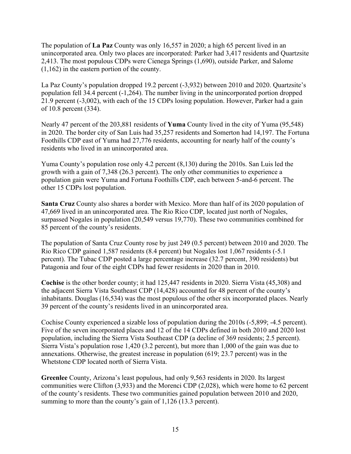The population of **La Paz** County was only 16,557 in 2020; a high 65 percent lived in an unincorporated area. Only two places are incorporated: Parker had 3,417 residents and Quartzsite 2,413. The most populous CDPs were Cienega Springs (1,690), outside Parker, and Salome (1,162) in the eastern portion of the county.

La Paz County's population dropped 19.2 percent (-3,932) between 2010 and 2020. Quartzsite's population fell 34.4 percent (-1,264). The number living in the unincorporated portion dropped 21.9 percent (-3,002), with each of the 15 CDPs losing population. However, Parker had a gain of 10.8 percent (334).

Nearly 47 percent of the 203,881 residents of **Yuma** County lived in the city of Yuma (95,548) in 2020. The border city of San Luis had 35,257 residents and Somerton had 14,197. The Fortuna Foothills CDP east of Yuma had 27,776 residents, accounting for nearly half of the county's residents who lived in an unincorporated area.

Yuma County's population rose only 4.2 percent (8,130) during the 2010s. San Luis led the growth with a gain of 7,348 (26.3 percent). The only other communities to experience a population gain were Yuma and Fortuna Foothills CDP, each between 5-and-6 percent. The other 15 CDPs lost population.

**Santa Cruz** County also shares a border with Mexico. More than half of its 2020 population of 47,669 lived in an unincorporated area. The Rio Rico CDP, located just north of Nogales, surpassed Nogales in population (20,549 versus 19,770). These two communities combined for 85 percent of the county's residents.

The population of Santa Cruz County rose by just 249 (0.5 percent) between 2010 and 2020. The Rio Rico CDP gained 1,587 residents (8.4 percent) but Nogales lost 1,067 residents (-5.1 percent). The Tubac CDP posted a large percentage increase (32.7 percent, 390 residents) but Patagonia and four of the eight CDPs had fewer residents in 2020 than in 2010.

**Cochise** is the other border county; it had 125,447 residents in 2020. Sierra Vista (45,308) and the adjacent Sierra Vista Southeast CDP (14,428) accounted for 48 percent of the county's inhabitants. Douglas (16,534) was the most populous of the other six incorporated places. Nearly 39 percent of the county's residents lived in an unincorporated area.

Cochise County experienced a sizable loss of population during the 2010s (-5,899; -4.5 percent). Five of the seven incorporated places and 12 of the 14 CDPs defined in both 2010 and 2020 lost population, including the Sierra Vista Southeast CDP (a decline of 369 residents; 2.5 percent). Sierra Vista's population rose 1,420 (3.2 percent), but more than 1,000 of the gain was due to annexations. Otherwise, the greatest increase in population (619; 23.7 percent) was in the Whetstone CDP located north of Sierra Vista.

**Greenlee** County, Arizona's least populous, had only 9,563 residents in 2020. Its largest communities were Clifton (3,933) and the Morenci CDP (2,028), which were home to 62 percent of the county's residents. These two communities gained population between 2010 and 2020, summing to more than the county's gain of 1,126 (13.3 percent).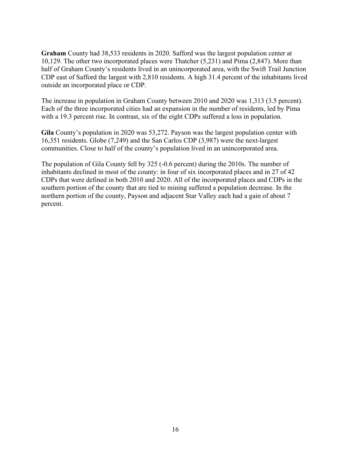**Graham** County had 38,533 residents in 2020. Safford was the largest population center at 10,129. The other two incorporated places were Thatcher (5,231) and Pima (2,847). More than half of Graham County's residents lived in an unincorporated area, with the Swift Trail Junction CDP east of Safford the largest with 2,810 residents. A high 31.4 percent of the inhabitants lived outside an incorporated place or CDP.

The increase in population in Graham County between 2010 and 2020 was 1,313 (3.5 percent). Each of the three incorporated cities had an expansion in the number of residents, led by Pima with a 19.3 percent rise. In contrast, six of the eight CDPs suffered a loss in population.

**Gila** County's population in 2020 was 53,272. Payson was the largest population center with 16,351 residents. Globe (7,249) and the San Carlos CDP (3,987) were the next-largest communities. Close to half of the county's population lived in an unincorporated area.

The population of Gila County fell by 325 (-0.6 percent) during the 2010s. The number of inhabitants declined in most of the county: in four of six incorporated places and in 27 of 42 CDPs that were defined in both 2010 and 2020. All of the incorporated places and CDPs in the southern portion of the county that are tied to mining suffered a population decrease. In the northern portion of the county, Payson and adjacent Star Valley each had a gain of about 7 percent.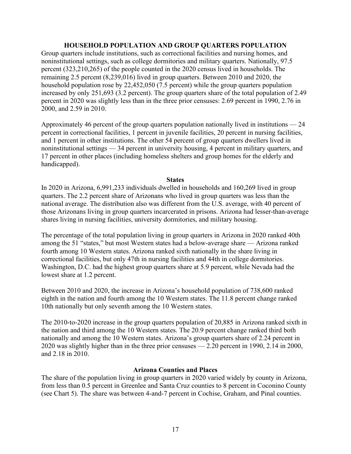#### **HOUSEHOLD POPULATION AND GROUP QUARTERS POPULATION**

Group quarters include institutions, such as correctional facilities and nursing homes, and noninstitutional settings, such as college dormitories and military quarters. Nationally, 97.5 percent (323,210,265) of the people counted in the 2020 census lived in households. The remaining 2.5 percent (8,239,016) lived in group quarters. Between 2010 and 2020, the household population rose by 22,452,050 (7.5 percent) while the group quarters population increased by only 251,693 (3.2 percent). The group quarters share of the total population of 2.49 percent in 2020 was slightly less than in the three prior censuses: 2.69 percent in 1990, 2.76 in 2000, and 2.59 in 2010.

Approximately 46 percent of the group quarters population nationally lived in institutions — 24 percent in correctional facilities, 1 percent in juvenile facilities, 20 percent in nursing facilities, and 1 percent in other institutions. The other 54 percent of group quarters dwellers lived in noninstitutional settings — 34 percent in university housing, 4 percent in military quarters, and 17 percent in other places (including homeless shelters and group homes for the elderly and handicapped).

#### **States**

In 2020 in Arizona, 6,991,233 individuals dwelled in households and 160,269 lived in group quarters. The 2.2 percent share of Arizonans who lived in group quarters was less than the national average. The distribution also was different from the U.S. average, with 40 percent of those Arizonans living in group quarters incarcerated in prisons. Arizona had lesser-than-average shares living in nursing facilities, university dormitories, and military housing.

The percentage of the total population living in group quarters in Arizona in 2020 ranked 40th among the 51 "states," but most Western states had a below-average share — Arizona ranked fourth among 10 Western states. Arizona ranked sixth nationally in the share living in correctional facilities, but only 47th in nursing facilities and 44th in college dormitories. Washington, D.C. had the highest group quarters share at 5.9 percent, while Nevada had the lowest share at 1.2 percent.

Between 2010 and 2020, the increase in Arizona's household population of 738,600 ranked eighth in the nation and fourth among the 10 Western states. The 11.8 percent change ranked 10th nationally but only seventh among the 10 Western states.

The 2010-to-2020 increase in the group quarters population of 20,885 in Arizona ranked sixth in the nation and third among the 10 Western states. The 20.9 percent change ranked third both nationally and among the 10 Western states. Arizona's group quarters share of 2.24 percent in 2020 was slightly higher than in the three prior censuses — 2.20 percent in 1990, 2.14 in 2000, and 2.18 in 2010.

#### **Arizona Counties and Places**

The share of the population living in group quarters in 2020 varied widely by county in Arizona, from less than 0.5 percent in Greenlee and Santa Cruz counties to 8 percent in Coconino County (see Chart 5). The share was between 4-and-7 percent in Cochise, Graham, and Pinal counties.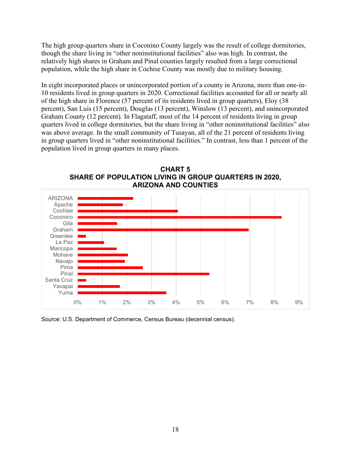The high group quarters share in Coconino County largely was the result of college dormitories, though the share living in "other noninstitutional facilities" also was high. In contrast, the relatively high shares in Graham and Pinal counties largely resulted from a large correctional population, while the high share in Cochise County was mostly due to military housing.

In eight incorporated places or unincorporated portion of a county in Arizona, more than one-in-10 residents lived in group quarters in 2020. Correctional facilities accounted for all or nearly all of the high share in Florence (57 percent of its residents lived in group quarters), Eloy (38 percent), San Luis (15 percent), Douglas (13 percent), Winslow (13 percent), and unincorporated Graham County (12 percent). In Flagstaff, most of the 14 percent of residents living in group quarters lived in college dormitories, but the share living in "other noninstitutional facilities" also was above average. In the small community of Tusayan, all of the 21 percent of residents living in group quarters lived in "other noninstitutional facilities." In contrast, less than 1 percent of the population lived in group quarters in many places.



**CHART 5 SHARE OF POPULATION LIVING IN GROUP QUARTERS IN 2020, ARIZONA AND COUNTIES**

Source: U.S. Department of Commerce, Census Bureau (decennial census).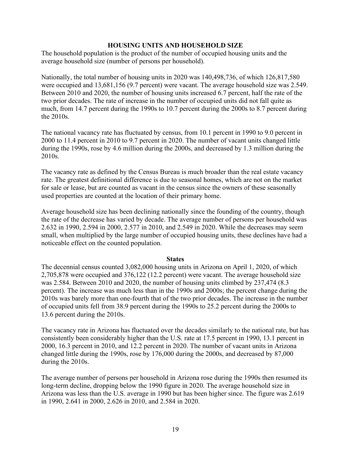#### **HOUSING UNITS AND HOUSEHOLD SIZE**

The household population is the product of the number of occupied housing units and the average household size (number of persons per household).

Nationally, the total number of housing units in 2020 was 140,498,736, of which 126,817,580 were occupied and 13,681,156 (9.7 percent) were vacant. The average household size was 2.549. Between 2010 and 2020, the number of housing units increased 6.7 percent, half the rate of the two prior decades. The rate of increase in the number of occupied units did not fall quite as much, from 14.7 percent during the 1990s to 10.7 percent during the 2000s to 8.7 percent during the 2010s.

The national vacancy rate has fluctuated by census, from 10.1 percent in 1990 to 9.0 percent in 2000 to 11.4 percent in 2010 to 9.7 percent in 2020. The number of vacant units changed little during the 1990s, rose by 4.6 million during the 2000s, and decreased by 1.3 million during the 2010s.

The vacancy rate as defined by the Census Bureau is much broader than the real estate vacancy rate. The greatest definitional difference is due to seasonal homes, which are not on the market for sale or lease, but are counted as vacant in the census since the owners of these seasonally used properties are counted at the location of their primary home.

Average household size has been declining nationally since the founding of the country, though the rate of the decrease has varied by decade. The average number of persons per household was 2.632 in 1990, 2.594 in 2000, 2.577 in 2010, and 2.549 in 2020. While the decreases may seem small, when multiplied by the large number of occupied housing units, these declines have had a noticeable effect on the counted population.

#### **States**

The decennial census counted 3,082,000 housing units in Arizona on April 1, 2020, of which 2,705,878 were occupied and 376,122 (12.2 percent) were vacant. The average household size was 2.584. Between 2010 and 2020, the number of housing units climbed by 237,474 (8.3 percent). The increase was much less than in the 1990s and 2000s; the percent change during the 2010s was barely more than one-fourth that of the two prior decades. The increase in the number of occupied units fell from 38.9 percent during the 1990s to 25.2 percent during the 2000s to 13.6 percent during the 2010s.

The vacancy rate in Arizona has fluctuated over the decades similarly to the national rate, but has consistently been considerably higher than the U.S. rate at 17.5 percent in 1990, 13.1 percent in 2000, 16.3 percent in 2010, and 12.2 percent in 2020. The number of vacant units in Arizona changed little during the 1990s, rose by 176,000 during the 2000s, and decreased by 87,000 during the 2010s.

The average number of persons per household in Arizona rose during the 1990s then resumed its long-term decline, dropping below the 1990 figure in 2020. The average household size in Arizona was less than the U.S. average in 1990 but has been higher since. The figure was 2.619 in 1990, 2.641 in 2000, 2.626 in 2010, and 2.584 in 2020.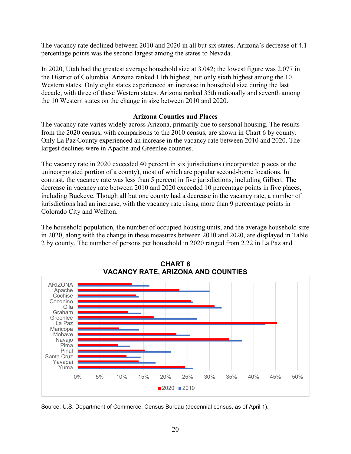The vacancy rate declined between 2010 and 2020 in all but six states. Arizona's decrease of 4.1 percentage points was the second largest among the states to Nevada.

In 2020, Utah had the greatest average household size at 3.042; the lowest figure was 2.077 in the District of Columbia. Arizona ranked 11th highest, but only sixth highest among the 10 Western states. Only eight states experienced an increase in household size during the last decade, with three of these Western states. Arizona ranked 35th nationally and seventh among the 10 Western states on the change in size between 2010 and 2020.

#### **Arizona Counties and Places**

The vacancy rate varies widely across Arizona, primarily due to seasonal housing. The results from the 2020 census, with comparisons to the 2010 census, are shown in Chart 6 by county. Only La Paz County experienced an increase in the vacancy rate between 2010 and 2020. The largest declines were in Apache and Greenlee counties.

The vacancy rate in 2020 exceeded 40 percent in six jurisdictions (incorporated places or the unincorporated portion of a county), most of which are popular second-home locations. In contrast, the vacancy rate was less than 5 percent in five jurisdictions, including Gilbert. The decrease in vacancy rate between 2010 and 2020 exceeded 10 percentage points in five places, including Buckeye. Though all but one county had a decrease in the vacancy rate, a number of jurisdictions had an increase, with the vacancy rate rising more than 9 percentage points in Colorado City and Wellton.

The household population, the number of occupied housing units, and the average household size in 2020, along with the change in these measures between 2010 and 2020, are displayed in Table 2 by county. The number of persons per household in 2020 ranged from 2.22 in La Paz and



**CHART 6 VACANCY RATE, ARIZONA AND COUNTIES**

Source: U.S. Department of Commerce, Census Bureau (decennial census, as of April 1).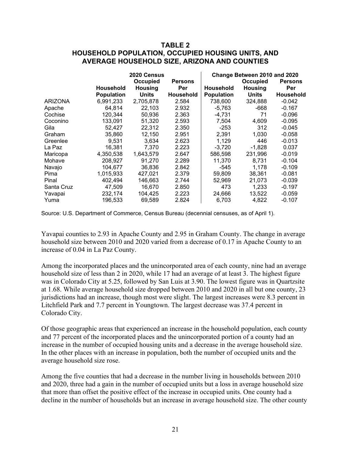#### **TABLE 2 HOUSEHOLD POPULATION, OCCUPIED HOUSING UNITS, AND AVERAGE HOUSEHOLD SIZE, ARIZONA AND COUNTIES**

|                |                   | <b>2020 Census</b> |                  | Change Between 2010 and 2020 |                |                  |  |  |
|----------------|-------------------|--------------------|------------------|------------------------------|----------------|------------------|--|--|
|                |                   | Occupied           | <b>Persons</b>   |                              | Occupied       | <b>Persons</b>   |  |  |
|                | <b>Household</b>  | <b>Housing</b>     | Per              | <b>Household</b>             | <b>Housing</b> | Per              |  |  |
|                | <b>Population</b> | <b>Units</b>       | <b>Household</b> | <b>Population</b>            | <b>Units</b>   | <b>Household</b> |  |  |
| <b>ARIZONA</b> | 6,991,233         | 2.705.878          | 2.584            | 738,600                      | 324,888        | $-0.042$         |  |  |
| Apache         | 64.814            | 22,103             | 2.932            | -5,763                       | -668           | -0.167           |  |  |
| Cochise        | 120,344           | 50,936             | 2.363            | $-4,731$                     | 71             | $-0.096$         |  |  |
| Coconino       | 133,091           | 51,320             | 2.593            | 7,504                        | 4,609          | $-0.095$         |  |  |
| Gila           | 52,427            | 22,312             | 2.350            | $-253$                       | 312            | $-0.045$         |  |  |
| Graham         | 35,860            | 12,150             | 2.951            | 2.391                        | 1,030          | $-0.058$         |  |  |
| Greenlee       | 9.531             | 3,634              | 2.623            | 1,129                        | 446            | $-0.013$         |  |  |
| La Paz         | 16,381            | 7,370              | 2.223            | $-3,720$                     | $-1,828$       | 0.037            |  |  |
| Maricopa       | 4,350,538         | 1,643,579          | 2.647            | 586,598                      | 231,996        | $-0.019$         |  |  |
| Mohave         | 208,927           | 91,270             | 2.289            | 11,370                       | 8,731          | $-0.104$         |  |  |
| Navajo         | 104.677           | 36.836             | 2.842            | -545                         | 1.178          | $-0.109$         |  |  |
| Pima           | 1,015,933         | 427,021            | 2.379            | 59,809                       | 38,361         | $-0.081$         |  |  |
| Pinal          | 402,494           | 146.663            | 2.744            | 52,969                       | 21.073         | $-0.039$         |  |  |
| Santa Cruz     | 47,509            | 16,670             | 2.850            | 473                          | 1,233          | $-0.197$         |  |  |
| Yavapai        | 232,174           | 104,425            | 2.223            | 24,666                       | 13,522         | $-0.059$         |  |  |
| Yuma           | 196,533           | 69,589             | 2.824            | 6,703                        | 4,822          | $-0.107$         |  |  |

Source: U.S. Department of Commerce, Census Bureau (decennial censuses, as of April 1).

Yavapai counties to 2.93 in Apache County and 2.95 in Graham County. The change in average household size between 2010 and 2020 varied from a decrease of 0.17 in Apache County to an increase of 0.04 in La Paz County.

Among the incorporated places and the unincorporated area of each county, nine had an average household size of less than 2 in 2020, while 17 had an average of at least 3. The highest figure was in Colorado City at 5.25, followed by San Luis at 3.90. The lowest figure was in Quartzsite at 1.68. While average household size dropped between 2010 and 2020 in all but one county, 23 jurisdictions had an increase, though most were slight. The largest increases were 8.3 percent in Litchfield Park and 7.7 percent in Youngtown. The largest decrease was 37.4 percent in Colorado City.

Of those geographic areas that experienced an increase in the household population, each county and 77 percent of the incorporated places and the unincorporated portion of a county had an increase in the number of occupied housing units and a decrease in the average household size. In the other places with an increase in population, both the number of occupied units and the average household size rose.

Among the five counties that had a decrease in the number living in households between 2010 and 2020, three had a gain in the number of occupied units but a loss in average household size that more than offset the positive effect of the increase in occupied units. One county had a decline in the number of households but an increase in average household size. The other county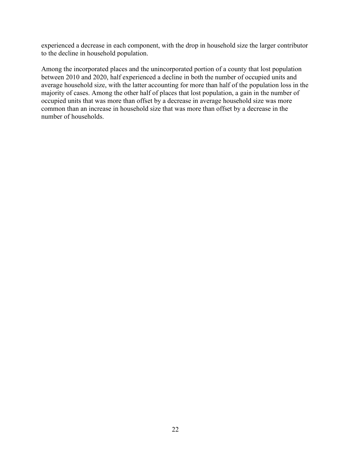experienced a decrease in each component, with the drop in household size the larger contributor to the decline in household population.

Among the incorporated places and the unincorporated portion of a county that lost population between 2010 and 2020, half experienced a decline in both the number of occupied units and average household size, with the latter accounting for more than half of the population loss in the majority of cases. Among the other half of places that lost population, a gain in the number of occupied units that was more than offset by a decrease in average household size was more common than an increase in household size that was more than offset by a decrease in the number of households.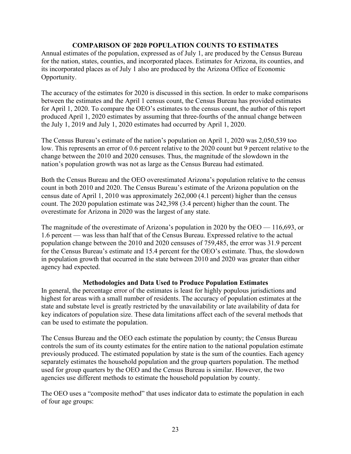#### **COMPARISON OF 2020 POPULATION COUNTS TO ESTIMATES**

Annual estimates of the population, expressed as of July 1, are produced by the Census Bureau for the nation, states, counties, and incorporated places. Estimates for Arizona, its counties, and its incorporated places as of July 1 also are produced by the Arizona Office of Economic Opportunity.

The accuracy of the estimates for 2020 is discussed in this section. In order to make comparisons between the estimates and the April 1 census count, the Census Bureau has provided estimates for April 1, 2020. To compare the OEO's estimates to the census count, the author of this report produced April 1, 2020 estimates by assuming that three-fourths of the annual change between the July 1, 2019 and July 1, 2020 estimates had occurred by April 1, 2020.

The Census Bureau's estimate of the nation's population on April 1, 2020 was 2,050,539 too low. This represents an error of 0.6 percent relative to the 2020 count but 9 percent relative to the change between the 2010 and 2020 censuses. Thus, the magnitude of the slowdown in the nation's population growth was not as large as the Census Bureau had estimated.

Both the Census Bureau and the OEO overestimated Arizona's population relative to the census count in both 2010 and 2020. The Census Bureau's estimate of the Arizona population on the census date of April 1, 2010 was approximately 262,000 (4.1 percent) higher than the census count. The 2020 population estimate was 242,398 (3.4 percent) higher than the count. The overestimate for Arizona in 2020 was the largest of any state.

The magnitude of the overestimate of Arizona's population in 2020 by the OEO — 116,693, or 1.6 percent — was less than half that of the Census Bureau. Expressed relative to the actual population change between the 2010 and 2020 censuses of 759,485, the error was 31.9 percent for the Census Bureau's estimate and 15.4 percent for the OEO's estimate. Thus, the slowdown in population growth that occurred in the state between 2010 and 2020 was greater than either agency had expected.

#### **Methodologies and Data Used to Produce Population Estimates**

In general, the percentage error of the estimates is least for highly populous jurisdictions and highest for areas with a small number of residents. The accuracy of population estimates at the state and substate level is greatly restricted by the unavailability or late availability of data for key indicators of population size. These data limitations affect each of the several methods that can be used to estimate the population.

The Census Bureau and the OEO each estimate the population by county; the Census Bureau controls the sum of its county estimates for the entire nation to the national population estimate previously produced. The estimated population by state is the sum of the counties. Each agency separately estimates the household population and the group quarters population. The method used for group quarters by the OEO and the Census Bureau is similar. However, the two agencies use different methods to estimate the household population by county.

The OEO uses a "composite method" that uses indicator data to estimate the population in each of four age groups: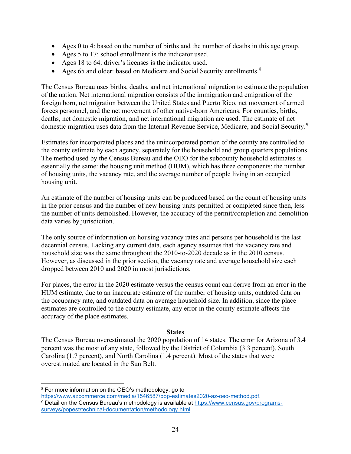- Ages 0 to 4: based on the number of births and the number of deaths in this age group.
- Ages 5 to 17: school enrollment is the indicator used.
- Ages 18 to 64: driver's licenses is the indicator used.
- Ages 65 and older: based on Medicare and Social Security enrollments.<sup>[8](#page-25-0)</sup>

The Census Bureau uses births, deaths, and net international migration to estimate the population of the nation. Net international migration consists of the immigration and emigration of the foreign born, net migration between the United States and Puerto Rico, net movement of armed forces personnel, and the net movement of other native-born Americans. For counties, births, deaths, net domestic migration, and net international migration are used. The estimate of net domestic migration uses data from the Internal Revenue Service, Medicare, and Social Security.<sup>[9](#page-25-1)</sup>

Estimates for incorporated places and the unincorporated portion of the county are controlled to the county estimate by each agency, separately for the household and group quarters populations. The method used by the Census Bureau and the OEO for the subcounty household estimates is essentially the same: the housing unit method (HUM), which has three components: the number of housing units, the vacancy rate, and the average number of people living in an occupied housing unit.

An estimate of the number of housing units can be produced based on the count of housing units in the prior census and the number of new housing units permitted or completed since then, less the number of units demolished. However, the accuracy of the permit/completion and demolition data varies by jurisdiction.

The only source of information on housing vacancy rates and persons per household is the last decennial census. Lacking any current data, each agency assumes that the vacancy rate and household size was the same throughout the 2010-to-2020 decade as in the 2010 census. However, as discussed in the prior section, the vacancy rate and average household size each dropped between 2010 and 2020 in most jurisdictions.

For places, the error in the 2020 estimate versus the census count can derive from an error in the HUM estimate, due to an inaccurate estimate of the number of housing units, outdated data on the occupancy rate, and outdated data on average household size. In addition, since the place estimates are controlled to the county estimate, any error in the county estimate affects the accuracy of the place estimates.

#### **States**

The Census Bureau overestimated the 2020 population of 14 states. The error for Arizona of 3.4 percent was the most of any state, followed by the District of Columbia (3.3 percent), South Carolina (1.7 percent), and North Carolina (1.4 percent). Most of the states that were overestimated are located in the Sun Belt.

<span id="page-25-0"></span><sup>8</sup> For more information on the OEO's methodology, go to

[https://www.azcommerce.com/media/1546587/pop-estimates2020-az-oeo-method.pdf.](https://www.azcommerce.com/media/1546587/pop-estimates2020-az-oeo-method.pdf)

<span id="page-25-1"></span><sup>9</sup> Detail on the Census Bureau's methodology is available at [https://www.census.gov/programs](https://www.census.gov/programs-surveys/popest/technical-documentation/methodology.html)[surveys/popest/technical-documentation/methodology.html.](https://www.census.gov/programs-surveys/popest/technical-documentation/methodology.html)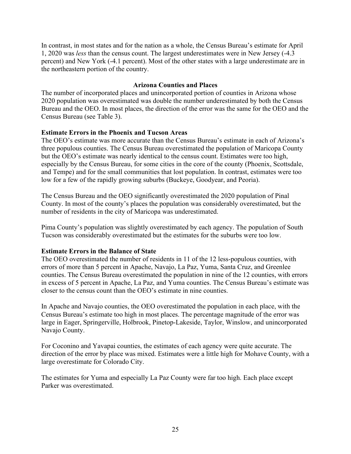In contrast, in most states and for the nation as a whole, the Census Bureau's estimate for April 1, 2020 was *less* than the census count. The largest underestimates were in New Jersey (-4.3 percent) and New York (-4.1 percent). Most of the other states with a large underestimate are in the northeastern portion of the country.

#### **Arizona Counties and Places**

The number of incorporated places and unincorporated portion of counties in Arizona whose 2020 population was overestimated was double the number underestimated by both the Census Bureau and the OEO. In most places, the direction of the error was the same for the OEO and the Census Bureau (see Table 3).

#### **Estimate Errors in the Phoenix and Tucson Areas**

The OEO's estimate was more accurate than the Census Bureau's estimate in each of Arizona's three populous counties. The Census Bureau overestimated the population of Maricopa County but the OEO's estimate was nearly identical to the census count. Estimates were too high, especially by the Census Bureau, for some cities in the core of the county (Phoenix, Scottsdale, and Tempe) and for the small communities that lost population. In contrast, estimates were too low for a few of the rapidly growing suburbs (Buckeye, Goodyear, and Peoria).

The Census Bureau and the OEO significantly overestimated the 2020 population of Pinal County. In most of the county's places the population was considerably overestimated, but the number of residents in the city of Maricopa was underestimated.

Pima County's population was slightly overestimated by each agency. The population of South Tucson was considerably overestimated but the estimates for the suburbs were too low.

#### **Estimate Errors in the Balance of State**

The OEO overestimated the number of residents in 11 of the 12 less-populous counties, with errors of more than 5 percent in Apache, Navajo, La Paz, Yuma, Santa Cruz, and Greenlee counties. The Census Bureau overestimated the population in nine of the 12 counties, with errors in excess of 5 percent in Apache, La Paz, and Yuma counties. The Census Bureau's estimate was closer to the census count than the OEO's estimate in nine counties.

In Apache and Navajo counties, the OEO overestimated the population in each place, with the Census Bureau's estimate too high in most places. The percentage magnitude of the error was large in Eager, Springerville, Holbrook, Pinetop-Lakeside, Taylor, Winslow, and unincorporated Navajo County.

For Coconino and Yavapai counties, the estimates of each agency were quite accurate. The direction of the error by place was mixed. Estimates were a little high for Mohave County, with a large overestimate for Colorado City.

The estimates for Yuma and especially La Paz County were far too high. Each place except Parker was overestimated.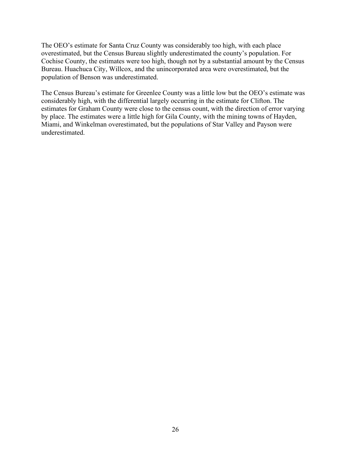The OEO's estimate for Santa Cruz County was considerably too high, with each place overestimated, but the Census Bureau slightly underestimated the county's population. For Cochise County, the estimates were too high, though not by a substantial amount by the Census Bureau. Huachuca City, Willcox, and the unincorporated area were overestimated, but the population of Benson was underestimated.

The Census Bureau's estimate for Greenlee County was a little low but the OEO's estimate was considerably high, with the differential largely occurring in the estimate for Clifton. The estimates for Graham County were close to the census count, with the direction of error varying by place. The estimates were a little high for Gila County, with the mining towns of Hayden, Miami, and Winkelman overestimated, but the populations of Star Valley and Payson were underestimated.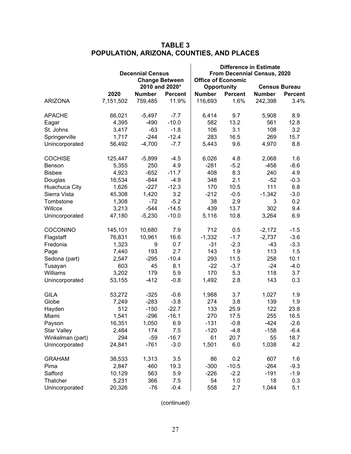|                    |           | <b>Decennial Census</b> |                       | <b>Difference in Estimate</b><br>From Decennial Census, 2020 |                           |               |                      |  |
|--------------------|-----------|-------------------------|-----------------------|--------------------------------------------------------------|---------------------------|---------------|----------------------|--|
|                    |           |                         | <b>Change Between</b> |                                                              | <b>Office of Economic</b> |               |                      |  |
|                    |           |                         | 2010 and 2020*        |                                                              | <b>Opportunity</b>        |               | <b>Census Bureau</b> |  |
|                    | 2020      | <b>Number</b>           | <b>Percent</b>        | <b>Number</b>                                                | <b>Percent</b>            | <b>Number</b> | <b>Percent</b>       |  |
| <b>ARIZONA</b>     | 7,151,502 | 759,485                 | 11.9%                 | 116,693                                                      | 1.6%                      | 242,398       | 3.4%                 |  |
| <b>APACHE</b>      | 66,021    | $-5,497$                | $-7.7$                | 6,414                                                        | 9.7                       | 5,908         | 8.9                  |  |
| Eagar              | 4,395     | $-490$                  | $-10.0$               | 582                                                          | 13.2                      | 561           | 12.8                 |  |
| St. Johns          | 3,417     | $-63$                   | $-1.8$                | 106                                                          | 3.1                       | 108           | 3.2                  |  |
| Springerville      | 1,717     | $-244$                  | $-12.4$               | 283                                                          | 16.5                      | 269           | 15.7                 |  |
| Unincorporated     | 56,492    | $-4,700$                | $-7.7$                | 5,443                                                        | 9.6                       | 4,970         | 8.8                  |  |
| <b>COCHISE</b>     | 125,447   | $-5,899$                | $-4.5$                | 6,026                                                        | 4.8                       | 2,068         | 1.6                  |  |
| Benson             | 5,355     | 250                     | 4.9                   | $-281$                                                       | $-5.2$                    | $-458$        | $-8.6$               |  |
| <b>Bisbee</b>      | 4,923     | $-652$                  | $-11.7$               | 408                                                          | 8.3                       | 240           | 4.9                  |  |
| Douglas            | 16,534    | $-844$                  | $-4.9$                | 348                                                          | 2.1                       | $-52$         | $-0.3$               |  |
| Huachuca City      | 1,626     | $-227$                  | $-12.3$               | 170                                                          | 10.5                      | 111           | 6.8                  |  |
| Sierra Vista       | 45,308    | 1,420                   | 3.2                   | $-212$                                                       | $-0.5$                    | $-1,342$      | $-3.0$               |  |
| Tombstone          | 1,308     | $-72$                   | $-5.2$                | 38                                                           | 2.9                       | 3             | 0.2                  |  |
| Willcox            | 3,213     | $-544$                  | $-14.5$               | 439                                                          | 13.7                      | 302           | 9.4                  |  |
| Unincorporated     | 47,180    | $-5,230$                | $-10.0$               | 5,116                                                        | 10.8                      | 3,264         | 6.9                  |  |
| <b>COCONINO</b>    | 145,101   | 10,680                  | 7.9                   | 712                                                          | 0.5                       | $-2,172$      | $-1.5$               |  |
| Flagstaff          | 76,831    | 10,961                  | 16.6                  | $-1,332$                                                     | $-1.7$                    | $-2,737$      | $-3.6$               |  |
| Fredonia           | 1,323     | 9                       | 0.7                   | $-31$                                                        | $-2.3$                    | $-43$         | $-3.3$               |  |
| Page               | 7,440     | 193                     | 2.7                   | 143                                                          | 1.9                       | 113           | 1.5                  |  |
| Sedona (part)      | 2,547     | $-295$                  | $-10.4$               | 293                                                          | 11.5                      | 258           | 10.1                 |  |
| Tusayan            | 603       | 45                      | 8.1                   | $-22$                                                        | $-3.7$                    | $-24$         | $-4.0$               |  |
| Williams           | 3,202     | 179                     | 5.9                   | 170                                                          | 5.3                       | 118           | 3.7                  |  |
| Unincorporated     | 53,155    | $-412$                  | $-0.8$                | 1,492                                                        | 2.8                       | 143           | 0.3                  |  |
| <b>GILA</b>        | 53,272    | $-325$                  | $-0.6$                | 1,988                                                        | 3.7                       | 1,027         | 1.9                  |  |
| Globe              | 7,249     | $-283$                  | $-3.8$                | 274                                                          | 3.8                       | 139           | 1.9                  |  |
| Hayden             | 512       | $-150$                  | $-22.7$               | 133                                                          | 25.9                      | 122           | 23.8                 |  |
| Miami              | 1,541     | $-296$                  | $-16.1$               | 270                                                          | 17.5                      | 255           | 16.5                 |  |
| Payson             | 16,351    | 1,050                   | 6.9                   | $-131$                                                       | $-0.8$                    | $-424$        | $-2.6$               |  |
| <b>Star Valley</b> | 2,484     | 174                     | 7.5                   | $-120$                                                       | $-4.8$                    | $-158$        | $-6.4$               |  |
| Winkelman (part)   | 294       | $-59$                   | $-16.7$               | 61                                                           | 20.7                      | 55            | 18.7                 |  |
| Unincorporated     | 24,841    | $-761$                  | $-3.0$                | 1,501                                                        | 6.0                       | 1,038         | 4.2                  |  |
| <b>GRAHAM</b>      | 38,533    | 1,313                   | 3.5                   | 86                                                           | 0.2                       | 607           | 1.6                  |  |
| Pima               | 2,847     | 460                     | 19.3                  | $-300$                                                       | $-10.5$                   | $-264$        | $-9.3$               |  |
| Safford            | 10,129    | 563                     | 5.9                   | $-226$                                                       | $-2.2$                    | $-191$        | $-1.9$               |  |
| Thatcher           | 5,231     | 366                     | 7.5                   | 54                                                           | 1.0                       | 18            | 0.3                  |  |
| Unincorporated     | 20,326    | $-76$                   | $-0.4$                | 558                                                          | 2.7                       | 1,044         | 5.1                  |  |

## **TABLE 3 POPULATION, ARIZONA, COUNTIES, AND PLACES**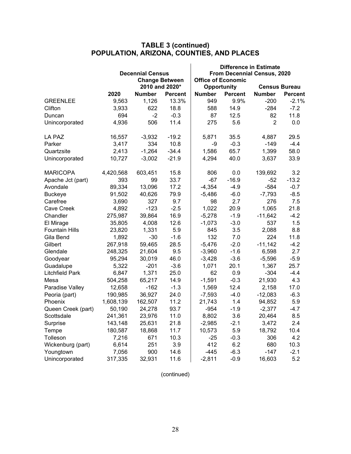|                        |           |                         |                       | <b>Difference in Estimate</b> |                           |                      |                |  |  |
|------------------------|-----------|-------------------------|-----------------------|-------------------------------|---------------------------|----------------------|----------------|--|--|
|                        |           | <b>Decennial Census</b> |                       | From Decennial Census, 2020   |                           |                      |                |  |  |
|                        |           |                         | <b>Change Between</b> |                               | <b>Office of Economic</b> |                      |                |  |  |
|                        |           |                         | 2010 and 2020*        |                               | Opportunity               | <b>Census Bureau</b> |                |  |  |
|                        | 2020      | <b>Number</b>           | <b>Percent</b>        | <b>Number</b>                 | <b>Percent</b>            | <b>Number</b>        | <b>Percent</b> |  |  |
| <b>GREENLEE</b>        | 9,563     | 1,126                   | 13.3%                 | 949                           | 9.9%                      | $-200$               | $-2.1%$        |  |  |
| Clifton                | 3,933     | 622                     | 18.8                  | 588                           | 14.9                      | $-284$               | $-7.2$         |  |  |
| Duncan                 | 694       | $-2$                    | $-0.3$                | 87                            | 12.5                      | 82                   | 11.8           |  |  |
| Unincorporated         | 4,936     | 506                     | 11.4                  | 275                           | 5.6                       | $\overline{2}$       | 0.0            |  |  |
| LA PAZ                 | 16,557    | $-3,932$                | $-19.2$               | 5,871                         | 35.5                      | 4,887                | 29.5           |  |  |
| Parker                 | 3,417     | 334                     | 10.8                  | -9                            | $-0.3$                    | $-149$               | $-4.4$         |  |  |
| Quartzsite             | 2,413     | $-1,264$                | $-34.4$               | 1,586                         | 65.7                      | 1,399                | 58.0           |  |  |
| Unincorporated         | 10,727    | $-3,002$                | $-21.9$               | 4,294                         | 40.0                      | 3,637                | 33.9           |  |  |
| <b>MARICOPA</b>        | 4,420,568 | 603,451                 | 15.8                  | 806                           | 0.0                       | 139,692              | 3.2            |  |  |
| Apache Jct (part)      | 393       | 99                      | 33.7                  | $-67$                         | $-16.9$                   | $-52$                | $-13.2$        |  |  |
| Avondale               | 89,334    | 13,096                  | 17.2                  | $-4,354$                      | $-4.9$                    | $-584$               | $-0.7$         |  |  |
| <b>Buckeye</b>         | 91,502    | 40,626                  | 79.9                  | $-5,486$                      | $-6.0$                    | $-7,793$             | $-8.5$         |  |  |
| Carefree               | 3,690     | 327                     | 9.7                   | 98                            | 2.7                       | 276                  | 7.5            |  |  |
| <b>Cave Creek</b>      | 4,892     | $-123$                  | $-2.5$                | 1,022                         | 20.9                      | 1,065                | 21.8           |  |  |
| Chandler               | 275,987   | 39,864                  | 16.9                  | $-5,278$                      | $-1.9$                    | $-11,642$            | $-4.2$         |  |  |
| El Mirage              | 35,805    | 4,008                   | 12.6                  | $-1,073$                      | $-3.0$                    | 537                  | 1.5            |  |  |
| <b>Fountain Hills</b>  | 23,820    | 1,331                   | 5.9                   | 845                           | 3.5                       | 2,088                | 8.8            |  |  |
| Gila Bend              | 1,892     | $-30$                   | $-1.6$                | 132                           | 7.0                       | 224                  | 11.8           |  |  |
| Gilbert                | 267,918   | 59,465                  | 28.5                  | $-5,476$                      | $-2.0$                    | $-11,142$            | $-4.2$         |  |  |
| Glendale               | 248,325   | 21,604                  | 9.5                   | $-3,960$                      | $-1.6$                    | 6,598                | 2.7            |  |  |
| Goodyear               | 95,294    | 30,019                  | 46.0                  | $-3,428$                      | $-3.6$                    | $-5,596$             | $-5.9$         |  |  |
| Guadalupe              | 5,322     | $-201$                  | $-3.6$                | 1,071                         | 20.1                      | 1,367                | 25.7           |  |  |
| <b>Litchfield Park</b> | 6,847     | 1,371                   | 25.0                  | 62                            | 0.9                       | $-304$               | $-4.4$         |  |  |
| Mesa                   | 504,258   | 65,217                  | 14.9                  | $-1,591$                      | $-0.3$                    | 21,930               | 4.3            |  |  |
| Paradise Valley        | 12,658    | $-162$                  | $-1.3$                | 1,569                         | 12.4                      | 2,158                | 17.0           |  |  |
| Peoria (part)          | 190,985   | 36,927                  | 24.0                  | $-7,593$                      | $-4.0$                    | $-12,083$            | $-6.3$         |  |  |
| Phoenix                | 1,608,139 | 162,507                 | 11.2                  | 21,743                        | 1.4                       | 94,852               | 5.9            |  |  |
| Queen Creek (part)     | 50,190    | 24,278                  | 93.7                  | $-954$                        | $-1.9$                    | $-2,377$             | $-4.7$         |  |  |
| Scottsdale             | 241,361   | 23,976                  | 11.0                  | 8,802                         | 3.6                       | 20,464               | 8.5            |  |  |
| Surprise               | 143,148   | 25,631                  | 21.8                  | $-2,985$                      | $-2.1$                    | 3,472                | 2.4            |  |  |
| Tempe                  | 180,587   | 18,868                  | 11.7                  | 10,573                        | 5.9                       | 18,792               | 10.4           |  |  |
| Tolleson               | 7,216     | 671                     | 10.3                  | $-25$                         | $-0.3$                    | 306                  | 4.2            |  |  |
| Wickenburg (part)      | 6,614     | 251                     | 3.9                   | 412                           | 6.2                       | 680                  | 10.3           |  |  |
| Youngtown              | 7,056     | 900                     | 14.6                  | $-445$                        | $-6.3$                    | $-147$               | $-2.1$         |  |  |
| Unincorporated         | 317,335   | 32,931                  | 11.6                  | $-2,811$                      | $-0.9$                    | 16,603               | 5.2            |  |  |

#### **TABLE 3 (continued) POPULATION, ARIZONA, COUNTIES, AND PLACES**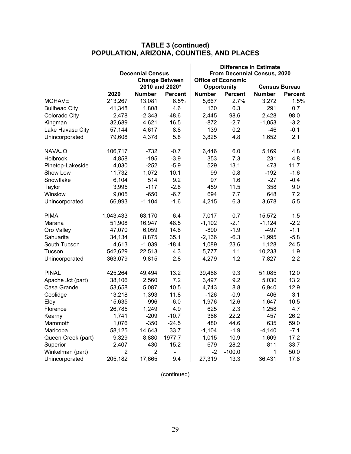|                      |           |                         |                       | <b>Difference in Estimate</b>                            |                    |                      |                |  |  |
|----------------------|-----------|-------------------------|-----------------------|----------------------------------------------------------|--------------------|----------------------|----------------|--|--|
|                      |           | <b>Decennial Census</b> |                       | From Decennial Census, 2020<br><b>Office of Economic</b> |                    |                      |                |  |  |
|                      |           |                         | <b>Change Between</b> |                                                          |                    |                      |                |  |  |
|                      |           |                         | 2010 and 2020*        |                                                          | <b>Opportunity</b> | <b>Census Bureau</b> |                |  |  |
|                      | 2020      | <b>Number</b>           | <b>Percent</b>        | <b>Number</b>                                            | <b>Percent</b>     | <b>Number</b>        | <b>Percent</b> |  |  |
| <b>MOHAVE</b>        | 213,267   | 13,081                  | 6.5%                  | 5,667                                                    | 2.7%               | 3,272                | 1.5%           |  |  |
| <b>Bullhead City</b> | 41,348    | 1,808                   | 4.6                   | 130                                                      | 0.3                | 291                  | 0.7            |  |  |
| Colorado City        | 2,478     | $-2,343$                | $-48.6$               | 2,445                                                    | 98.6               | 2,428                | 98.0           |  |  |
| Kingman              | 32,689    | 4,621                   | 16.5                  | $-872$                                                   | $-2.7$             | $-1,053$             | $-3.2$         |  |  |
| Lake Havasu City     | 57,144    | 4,617                   | 8.8                   | 139                                                      | 0.2                | $-46$                | $-0.1$         |  |  |
| Unincorporated       | 79,608    | 4,378                   | 5.8                   | 3,825                                                    | 4.8                | 1,652                | 2.1            |  |  |
| <b>NAVAJO</b>        | 106,717   | $-732$                  | $-0.7$                | 6,446                                                    | 6.0                | 5,169                | 4.8            |  |  |
| <b>Holbrook</b>      | 4,858     | $-195$                  | $-3.9$                | 353                                                      | 7.3                | 231                  | 4.8            |  |  |
| Pinetop-Lakeside     | 4,030     | $-252$                  | $-5.9$                | 529                                                      | 13.1               | 473                  | 11.7           |  |  |
| Show Low             | 11,732    | 1,072                   | 10.1                  | 99                                                       | 0.8                | $-192$               | $-1.6$         |  |  |
| Snowflake            | 6,104     | 514                     | 9.2                   | 97                                                       | 1.6                | $-27$                | $-0.4$         |  |  |
| Taylor               | 3,995     | $-117$                  | $-2.8$                | 459                                                      | 11.5               | 358                  | 9.0            |  |  |
| Winslow              | 9,005     | $-650$                  | $-6.7$                | 694                                                      | 7.7                | 648                  | 7.2            |  |  |
| Unincorporated       | 66,993    | $-1,104$                | $-1.6$                | 4,215                                                    | 6.3                | 3,678                | 5.5            |  |  |
| <b>PIMA</b>          | 1,043,433 | 63,170                  | 6.4                   | 7,017                                                    | 0.7                | 15,572               | 1.5            |  |  |
| Marana               | 51,908    | 16,947                  | 48.5                  | $-1,102$                                                 | $-2.1$             | $-1,124$             | $-2.2$         |  |  |
| Oro Valley           | 47,070    | 6,059                   | 14.8                  | $-890$                                                   | $-1.9$             | $-497$               | $-1.1$         |  |  |
| Sahuarita            | 34,134    | 8,875                   | 35.1                  | $-2,136$                                                 | $-6.3$             | $-1,995$             | $-5.8$         |  |  |
| South Tucson         | 4,613     | $-1,039$                | $-18.4$               | 1,089                                                    | 23.6               | 1,128                | 24.5           |  |  |
| Tucson               | 542,629   | 22,513                  | 4.3                   | 5,777                                                    | 1.1                | 10,233               | 1.9            |  |  |
| Unincorporated       | 363,079   | 9,815                   | 2.8                   | 4,279                                                    | 1.2                | 7,827                | 2.2            |  |  |
| <b>PINAL</b>         | 425,264   | 49,494                  | 13.2                  | 39,488                                                   | 9.3                | 51,085               | 12.0           |  |  |
| Apache Jct (part)    | 38,106    | 2,560                   | 7.2                   | 3,497                                                    | 9.2                | 5,030                | 13.2           |  |  |
| Casa Grande          | 53,658    | 5,087                   | 10.5                  | 4,743                                                    | 8.8                | 6,940                | 12.9           |  |  |
| Coolidge             | 13,218    | 1,393                   | 11.8                  | $-126$                                                   | $-0.9$             | 406                  | 3.1            |  |  |
| Eloy                 | 15,635    | $-996$                  | $-6.0$                | 1,976                                                    | 12.6               | 1,647                | 10.5           |  |  |
| Florence             | 26,785    | 1,249                   | 4.9                   | 625                                                      | 2.3                | 1,258                | 4.7            |  |  |
| Kearny               | 1,741     | $-209$                  | $-10.7$               | 386                                                      | 22.2               | 457                  | 26.2           |  |  |
| Mammoth              | 1,076     | $-350$                  | $-24.5$               | 480                                                      | 44.6               | 635                  | 59.0           |  |  |
| Maricopa             | 58,125    | 14,643                  | 33.7                  | $-1,104$                                                 | $-1.9$             | $-4,140$             | $-7.1$         |  |  |
| Queen Creek (part)   | 9,329     | 8,880                   | 1977.7                | 1,015                                                    | 10.9               | 1,609                | 17.2           |  |  |
| Superior             | 2,407     | $-430$                  | $-15.2$               | 679                                                      | 28.2               | 811                  | 33.7           |  |  |
| Winkelman (part)     | 2         | 2                       | ÷,                    | -2                                                       | $-100.0$           | 1                    | 50.0           |  |  |
| Unincorporated       | 205,182   | 17,665                  | 9.4                   | 27,319                                                   | 13.3               | 36,431               | 17.8           |  |  |

#### **TABLE 3 (continued) POPULATION, ARIZONA, COUNTIES, AND PLACES**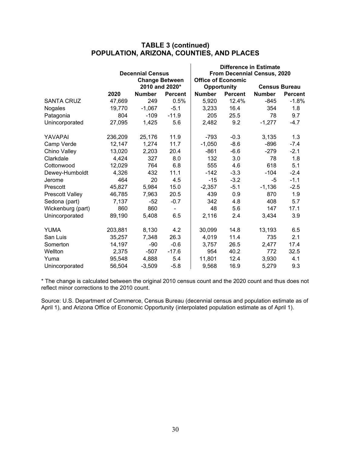|                        |         |                         |                          | <b>Difference in Estimate</b> |                             |               |                      |  |  |
|------------------------|---------|-------------------------|--------------------------|-------------------------------|-----------------------------|---------------|----------------------|--|--|
|                        |         | <b>Decennial Census</b> |                          |                               | From Decennial Census, 2020 |               |                      |  |  |
|                        |         |                         | <b>Change Between</b>    |                               | <b>Office of Economic</b>   |               |                      |  |  |
|                        |         |                         | 2010 and 2020*           |                               | Opportunity                 |               | <b>Census Bureau</b> |  |  |
|                        | 2020    | <b>Number</b>           | <b>Percent</b>           | <b>Number</b>                 | <b>Percent</b>              | <b>Number</b> | <b>Percent</b>       |  |  |
| <b>SANTA CRUZ</b>      | 47,669  | 249                     | 0.5%                     | 5,920                         | 12.4%                       | $-845$        | $-1.8%$              |  |  |
| Nogales                | 19,770  | $-1,067$                | $-5.1$                   | 3,233                         | 16.4                        | 354           | 1.8                  |  |  |
| Patagonia              | 804     | $-109$                  | $-11.9$                  | 205                           | 25.5                        | 78            | 9.7                  |  |  |
| Unincorporated         | 27,095  | 1,425                   | 5.6                      | 2,482                         | 9.2                         | $-1,277$      | $-4.7$               |  |  |
| YAVAPAI                | 236,209 | 25,176                  | 11.9                     | $-793$                        | $-0.3$                      | 3,135         | 1.3                  |  |  |
| Camp Verde             | 12,147  | 1,274                   | 11.7                     | $-1,050$                      | $-8.6$                      | $-896$        | $-7.4$               |  |  |
| Chino Valley           | 13,020  | 2,203                   | 20.4                     | $-861$                        | $-6.6$                      | $-279$        | $-2.1$               |  |  |
| Clarkdale              | 4,424   | 327                     | 8.0                      | 132                           | 3.0                         | 78            | 1.8                  |  |  |
| Cottonwood             | 12,029  | 764                     | 6.8                      | 555                           | 4.6                         | 618           | 5.1                  |  |  |
| Dewey-Humboldt         | 4,326   | 432                     | 11.1                     | $-142$                        | $-3.3$                      | $-104$        | $-2.4$               |  |  |
| Jerome                 | 464     | 20                      | 4.5                      | $-15$                         | $-3.2$                      | -5            | $-1.1$               |  |  |
| Prescott               | 45,827  | 5,984                   | 15.0                     | $-2,357$                      | $-5.1$                      | $-1,136$      | $-2.5$               |  |  |
| <b>Prescott Valley</b> | 46,785  | 7,963                   | 20.5                     | 439                           | 0.9                         | 870           | 1.9                  |  |  |
| Sedona (part)          | 7,137   | $-52$                   | $-0.7$                   | 342                           | 4.8                         | 408           | 5.7                  |  |  |
| Wickenburg (part)      | 860     | 860                     | $\overline{\phantom{0}}$ | 48                            | 5.6                         | 147           | 17.1                 |  |  |
| Unincorporated         | 89,190  | 5,408                   | 6.5                      | 2,116                         | 2.4                         | 3,434         | 3.9                  |  |  |
| <b>YUMA</b>            | 203,881 | 8,130                   | 4.2                      | 30,099                        | 14.8                        | 13,193        | 6.5                  |  |  |
| San Luis               | 35,257  | 7,348                   | 26.3                     | 4,019                         | 11.4                        | 735           | 2.1                  |  |  |
| Somerton               | 14,197  | $-90$                   | $-0.6$                   | 3,757                         | 26.5                        | 2,477         | 17.4                 |  |  |
| Wellton                | 2,375   | $-507$                  | $-17.6$                  | 954                           | 40.2                        | 772           | 32.5                 |  |  |
| Yuma                   | 95,548  | 4,888                   | 5.4                      | 11,801                        | 12.4                        | 3,930         | 4.1                  |  |  |
| Unincorporated         | 56,504  | $-3,509$                | $-5.8$                   | 9,568                         | 16.9                        | 5,279         | 9.3                  |  |  |

### **TABLE 3 (continued) POPULATION, ARIZONA, COUNTIES, AND PLACES**

\* The change is calculated between the original 2010 census count and the 2020 count and thus does not reflect minor corrections to the 2010 count.

Source: U.S. Department of Commerce, Census Bureau (decennial census and population estimate as of April 1), and Arizona Office of Economic Opportunity (interpolated population estimate as of April 1).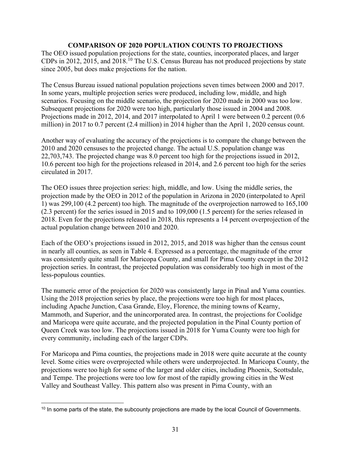#### **COMPARISON OF 2020 POPULATION COUNTS TO PROJECTIONS**

The OEO issued population projections for the state, counties, incorporated places, and larger CDPs in 2012, 2015, and 2018.<sup>[10](#page-32-0)</sup> The U.S. Census Bureau has not produced projections by state since 2005, but does make projections for the nation.

The Census Bureau issued national population projections seven times between 2000 and 2017. In some years, multiple projection series were produced, including low, middle, and high scenarios. Focusing on the middle scenario, the projection for 2020 made in 2000 was too low. Subsequent projections for 2020 were too high, particularly those issued in 2004 and 2008. Projections made in 2012, 2014, and 2017 interpolated to April 1 were between 0.2 percent (0.6 million) in 2017 to 0.7 percent (2.4 million) in 2014 higher than the April 1, 2020 census count.

Another way of evaluating the accuracy of the projections is to compare the change between the 2010 and 2020 censuses to the projected change. The actual U.S. population change was 22,703,743. The projected change was 8.0 percent too high for the projections issued in 2012, 10.6 percent too high for the projections released in 2014, and 2.6 percent too high for the series circulated in 2017.

The OEO issues three projection series: high, middle, and low. Using the middle series, the projection made by the OEO in 2012 of the population in Arizona in 2020 (interpolated to April 1) was 299,100 (4.2 percent) too high. The magnitude of the overprojection narrowed to 165,100 (2.3 percent) for the series issued in 2015 and to 109,000 (1.5 percent) for the series released in 2018. Even for the projections released in 2018, this represents a 14 percent overprojection of the actual population change between 2010 and 2020.

Each of the OEO's projections issued in 2012, 2015, and 2018 was higher than the census count in nearly all counties, as seen in Table 4. Expressed as a percentage, the magnitude of the error was consistently quite small for Maricopa County, and small for Pima County except in the 2012 projection series. In contrast, the projected population was considerably too high in most of the less-populous counties.

The numeric error of the projection for 2020 was consistently large in Pinal and Yuma counties. Using the 2018 projection series by place, the projections were too high for most places, including Apache Junction, Casa Grande, Eloy, Florence, the mining towns of Kearny, Mammoth, and Superior, and the unincorporated area. In contrast, the projections for Coolidge and Maricopa were quite accurate, and the projected population in the Pinal County portion of Queen Creek was too low. The projections issued in 2018 for Yuma County were too high for every community, including each of the larger CDPs.

For Maricopa and Pima counties, the projections made in 2018 were quite accurate at the county level. Some cities were overprojected while others were underprojected. In Maricopa County, the projections were too high for some of the larger and older cities, including Phoenix, Scottsdale, and Tempe. The projections were too low for most of the rapidly growing cities in the West Valley and Southeast Valley. This pattern also was present in Pima County, with an

<span id="page-32-0"></span><sup>&</sup>lt;sup>10</sup> In some parts of the state, the subcounty projections are made by the local Council of Governments.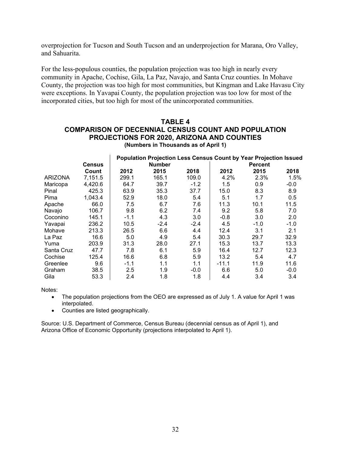overprojection for Tucson and South Tucson and an underprojection for Marana, Oro Valley, and Sahuarita.

For the less-populous counties, the population projection was too high in nearly every community in Apache, Cochise, Gila, La Paz, Navajo, and Santa Cruz counties. In Mohave County, the projection was too high for most communities, but Kingman and Lake Havasu City were exceptions. In Yavapai County, the population projection was too low for most of the incorporated cities, but too high for most of the unincorporated communities.

#### **TABLE 4 COMPARISON OF DECENNIAL CENSUS COUNT AND POPULATION PROJECTIONS FOR 2020, ARIZONA AND COUNTIES (Numbers in Thousands as of April 1)**

|                |               |        | <b>Population Projection Less Census Count by Year Projection Issued</b> |        |         |                |        |  |  |
|----------------|---------------|--------|--------------------------------------------------------------------------|--------|---------|----------------|--------|--|--|
|                | <b>Census</b> |        | <b>Number</b>                                                            |        |         | <b>Percent</b> |        |  |  |
|                | Count         | 2012   | 2015                                                                     | 2018   | 2012    | 2015           | 2018   |  |  |
| <b>ARIZONA</b> | 7,151.5       | 299.1  | 165.1                                                                    | 109.0  | 4.2%    | 2.3%           | 1.5%   |  |  |
| Maricopa       | 4,420.6       | 64.7   | 39.7                                                                     | $-1.2$ | 1.5     | 0.9            | $-0.0$ |  |  |
| Pinal          | 425.3         | 63.9   | 35.3                                                                     | 37.7   | 15.0    | 8.3            | 8.9    |  |  |
| Pima           | 1,043.4       | 52.9   | 18.0                                                                     | 5.4    | 5.1     | 1.7            | 0.5    |  |  |
| Apache         | 66.0          | 7.5    | 6.7                                                                      | 7.6    | 11.3    | 10.1           | 11.5   |  |  |
| Navajo         | 106.7         | 9.8    | 6.2                                                                      | 7.4    | 9.2     | 5.8            | 7.0    |  |  |
| Coconino       | 145.1         | $-1.1$ | 4.3                                                                      | 3.0    | $-0.8$  | 3.0            | 2.0    |  |  |
| Yavapai        | 236.2         | 10.5   | $-2.4$                                                                   | $-2.4$ | 4.5     | $-1.0$         | $-1.0$ |  |  |
| Mohave         | 213.3         | 26.5   | 6.6                                                                      | 4.4    | 12.4    | 3.1            | 2.1    |  |  |
| La Paz         | 16.6          | 5.0    | 4.9                                                                      | 5.4    | 30.3    | 29.7           | 32.9   |  |  |
| Yuma           | 203.9         | 31.3   | 28.0                                                                     | 27.1   | 15.3    | 13.7           | 13.3   |  |  |
| Santa Cruz     | 47.7          | 7.8    | 6.1                                                                      | 5.9    | 16.4    | 12.7           | 12.3   |  |  |
| Cochise        | 125.4         | 16.6   | 6.8                                                                      | 5.9    | 13.2    | 5.4            | 4.7    |  |  |
| Greenlee       | 9.6           | $-1.1$ | 1.1                                                                      | 1.1    | $-11.1$ | 11.9           | 11.6   |  |  |
| Graham         | 38.5          | 2.5    | 1.9                                                                      | $-0.0$ | 6.6     | 5.0            | $-0.0$ |  |  |
| Gila           | 53.3          | 2.4    | 1.8                                                                      | 1.8    | 4.4     | 3.4            | 3.4    |  |  |

Notes:

- The population projections from the OEO are expressed as of July 1. A value for April 1 was interpolated.
- Counties are listed geographically.

Source: U.S. Department of Commerce, Census Bureau (decennial census as of April 1), and Arizona Office of Economic Opportunity (projections interpolated to April 1).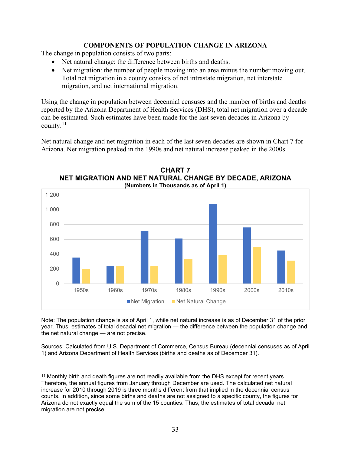#### **COMPONENTS OF POPULATION CHANGE IN ARIZONA**

The change in population consists of two parts:

- Net natural change: the difference between births and deaths.
- Net migration: the number of people moving into an area minus the number moving out. Total net migration in a county consists of net intrastate migration, net interstate migration, and net international migration.

Using the change in population between decennial censuses and the number of births and deaths reported by the Arizona Department of Health Services (DHS), total net migration over a decade can be estimated. Such estimates have been made for the last seven decades in Arizona by county. $^{11}$  $^{11}$  $^{11}$ 

Net natural change and net migration in each of the last seven decades are shown in Chart 7 for Arizona. Net migration peaked in the 1990s and net natural increase peaked in the 2000s.



**CHART 7 NET MIGRATION AND NET NATURAL CHANGE BY DECADE, ARIZONA (Numbers in Thousands as of April 1)**

Note: The population change is as of April 1, while net natural increase is as of December 31 of the prior year. Thus, estimates of total decadal net migration — the difference between the population change and the net natural change — are not precise.

Sources: Calculated from U.S. Department of Commerce, Census Bureau (decennial censuses as of April 1) and Arizona Department of Health Services (births and deaths as of December 31).

<span id="page-34-0"></span><sup>11</sup> Monthly birth and death figures are not readily available from the DHS except for recent years. Therefore, the annual figures from January through December are used. The calculated net natural increase for 2010 through 2019 is three months different from that implied in the decennial census counts. In addition, since some births and deaths are not assigned to a specific county, the figures for Arizona do not exactly equal the sum of the 15 counties. Thus, the estimates of total decadal net migration are not precise.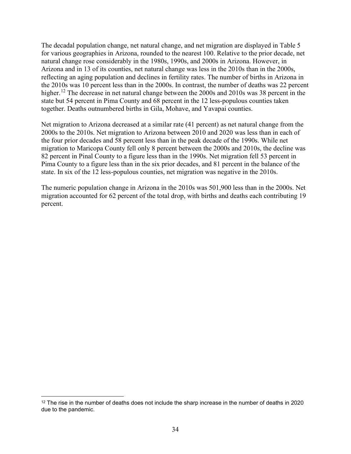The decadal population change, net natural change, and net migration are displayed in Table 5 for various geographies in Arizona, rounded to the nearest 100. Relative to the prior decade, net natural change rose considerably in the 1980s, 1990s, and 2000s in Arizona. However, in Arizona and in 13 of its counties, net natural change was less in the 2010s than in the 2000s, reflecting an aging population and declines in fertility rates. The number of births in Arizona in the 2010s was 10 percent less than in the 2000s. In contrast, the number of deaths was 22 percent higher.<sup>[12](#page-35-0)</sup> The decrease in net natural change between the 2000s and 2010s was 38 percent in the state but 54 percent in Pima County and 68 percent in the 12 less-populous counties taken together. Deaths outnumbered births in Gila, Mohave, and Yavapai counties.

Net migration to Arizona decreased at a similar rate (41 percent) as net natural change from the 2000s to the 2010s. Net migration to Arizona between 2010 and 2020 was less than in each of the four prior decades and 58 percent less than in the peak decade of the 1990s. While net migration to Maricopa County fell only 8 percent between the 2000s and 2010s, the decline was 82 percent in Pinal County to a figure less than in the 1990s. Net migration fell 53 percent in Pima County to a figure less than in the six prior decades, and 81 percent in the balance of the state. In six of the 12 less-populous counties, net migration was negative in the 2010s.

The numeric population change in Arizona in the 2010s was 501,900 less than in the 2000s. Net migration accounted for 62 percent of the total drop, with births and deaths each contributing 19 percent.

<span id="page-35-0"></span> $12$  The rise in the number of deaths does not include the sharp increase in the number of deaths in 2020 due to the pandemic.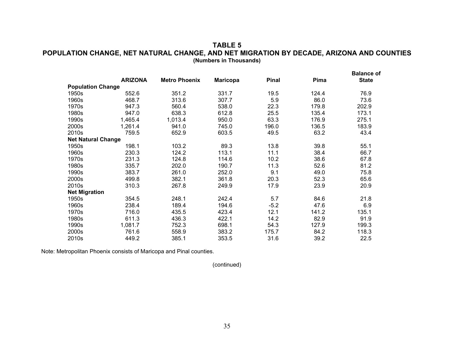#### **TABLE 5 POPULATION CHANGE, NET NATURAL CHANGE, AND NET MIGRATION BY DECADE, ARIZONA AND COUNTIES (Numbers in Thousands)**

|                           | <b>ARIZONA</b> | <b>Metro Phoenix</b> | <b>Maricopa</b> | <b>Pinal</b> | Pima  | <b>Balance of</b><br><b>State</b> |
|---------------------------|----------------|----------------------|-----------------|--------------|-------|-----------------------------------|
| <b>Population Change</b>  |                |                      |                 |              |       |                                   |
| 1950s                     | 552.6          | 351.2                | 331.7           | 19.5         | 124.4 | 76.9                              |
| 1960s                     | 468.7          | 313.6                | 307.7           | 5.9          | 86.0  | 73.6                              |
| 1970s                     | 947.3          | 560.4                | 538.0           | 22.3         | 179.8 | 202.9                             |
| 1980s                     | 947.0          | 638.3                | 612.8           | 25.5         | 135.4 | 173.1                             |
| 1990s                     | 1,465.4        | 1,013.4              | 950.0           | 63.3         | 176.9 | 275.1                             |
| 2000s                     | 1,261.4        | 941.0                | 745.0           | 196.0        | 136.5 | 183.9                             |
| 2010s                     | 759.5          | 652.9                | 603.5           | 49.5         | 63.2  | 43.4                              |
| <b>Net Natural Change</b> |                |                      |                 |              |       |                                   |
| 1950s                     | 198.1          | 103.2                | 89.3            | 13.8         | 39.8  | 55.1                              |
| 1960s                     | 230.3          | 124.2                | 113.1           | 11.1         | 38.4  | 66.7                              |
| 1970s                     | 231.3          | 124.8                | 114.6           | 10.2         | 38.6  | 67.8                              |
| 1980s                     | 335.7          | 202.0                | 190.7           | 11.3         | 52.6  | 81.2                              |
| 1990s                     | 383.7          | 261.0                | 252.0           | 9.1          | 49.0  | 75.8                              |
| 2000s                     | 499.8          | 382.1                | 361.8           | 20.3         | 52.3  | 65.6                              |
| 2010s                     | 310.3          | 267.8                | 249.9           | 17.9         | 23.9  | 20.9                              |
| <b>Net Migration</b>      |                |                      |                 |              |       |                                   |
| 1950s                     | 354.5          | 248.1                | 242.4           | 5.7          | 84.6  | 21.8                              |
| 1960s                     | 238.4          | 189.4                | 194.6           | $-5.2$       | 47.6  | 6.9                               |
| 1970s                     | 716.0          | 435.5                | 423.4           | 12.1         | 141.2 | 135.1                             |
| 1980s                     | 611.3          | 436.3                | 422.1           | 14.2         | 82.9  | 91.9                              |
| 1990s                     | 1,081.7        | 752.3                | 698.1           | 54.3         | 127.9 | 199.3                             |
| 2000s                     | 761.6          | 558.9                | 383.2           | 175.7        | 84.2  | 118.3                             |
| 2010s                     | 449.2          | 385.1                | 353.5           | 31.6         | 39.2  | 22.5                              |

Note: Metropolitan Phoenix consists of Maricopa and Pinal counties.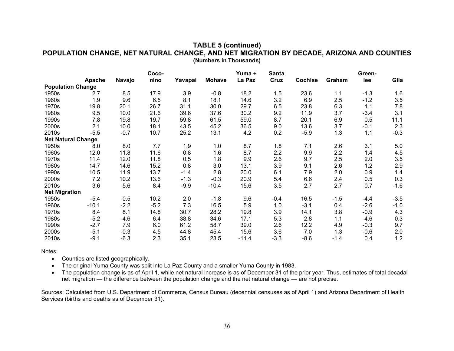#### **TABLE 5 (continued) POPULATION CHANGE, NET NATURAL CHANGE, AND NET MIGRATION BY DECADE, ARIZONA AND COUNTIES (Numbers in Thousands)**

|                           |         |        | Coco-  |         |               | Yuma +  | <b>Santa</b> |                |        | Green- |        |
|---------------------------|---------|--------|--------|---------|---------------|---------|--------------|----------------|--------|--------|--------|
|                           | Apache  | Navajo | nino   | Yavapai | <b>Mohave</b> | La Paz  | Cruz         | <b>Cochise</b> | Graham | lee    | Gila   |
| <b>Population Change</b>  |         |        |        |         |               |         |              |                |        |        |        |
| 1950s                     | 2.7     | 8.5    | 17.9   | 3.9     | $-0.8$        | 18.2    | 1.5          | 23.6           | 1.1    | $-1.3$ | 1.6    |
| 1960s                     | 1.9     | 9.6    | 6.5    | 8.1     | 18.1          | 14.6    | 3.2          | 6.9            | 2.5    | $-1.2$ | 3.5    |
| 1970s                     | 19.8    | 20.1   | 26.7   | 31.1    | 30.0          | 29.7    | 6.5          | 23.8           | 6.3    | 1.1    | 7.8    |
| 1980s                     | 9.5     | 10.0   | 21.6   | 39.6    | 37.6          | 30.2    | 9.2          | 11.9           | 3.7    | $-3.4$ | 3.1    |
| 1990s                     | 7.8     | 19.8   | 19.7   | 59.8    | 61.5          | 59.0    | 8.7          | 20.1           | 6.9    | 0.5    | 11.1   |
| 2000s                     | 2.1     | 10.0   | 18.1   | 43.5    | 45.2          | 36.5    | 9.0          | 13.6           | 3.7    | $-0.1$ | 2.3    |
| 2010s                     | $-5.5$  | $-0.7$ | 10.7   | 25.2    | 13.1          | 4.2     | 0.2          | $-5.9$         | 1.3    | 1.1    | $-0.3$ |
| <b>Net Natural Change</b> |         |        |        |         |               |         |              |                |        |        |        |
| 1950s                     | 8.0     | 8.0    | 7.7    | 1.9     | 1.0           | 8.7     | 1.8          | 7.1            | 2.6    | 3.1    | 5.0    |
| 1960s                     | 12.0    | 11.8   | 11.6   | 0.8     | 1.6           | 8.7     | 2.2          | 9.9            | 2.2    | 1.4    | 4.5    |
| 1970s                     | 11.4    | 12.0   | 11.8   | 0.5     | 1.8           | 9.9     | 2.6          | 9.7            | 2.5    | 2.0    | 3.5    |
| 1980s                     | 14.7    | 14.6   | 15.2   | 0.8     | 3.0           | 13.1    | 3.9          | 9.1            | 2.6    | 1.2    | 2.9    |
| 1990s                     | 10.5    | 11.9   | 13.7   | $-1.4$  | 2.8           | 20.0    | 6.1          | 7.9            | 2.0    | 0.9    | 1.4    |
| 2000s                     | 7.2     | 10.2   | 13.6   | $-1.3$  | $-0.3$        | 20.9    | 5.4          | 6.6            | 2.4    | 0.5    | 0.3    |
| 2010s                     | 3.6     | 5.6    | 8.4    | $-9.9$  | $-10.4$       | 15.6    | 3.5          | 2.7            | 2.7    | 0.7    | $-1.6$ |
| <b>Net Migration</b>      |         |        |        |         |               |         |              |                |        |        |        |
| 1950s                     | $-5.4$  | 0.5    | 10.2   | 2.0     | $-1.8$        | 9.6     | $-0.4$       | 16.5           | $-1.5$ | $-4.4$ | $-3.5$ |
| 1960s                     | $-10.1$ | $-2.2$ | $-5.2$ | 7.3     | 16.5          | 5.9     | 1.0          | $-3.1$         | 0.4    | $-2.6$ | $-1.0$ |
| 1970s                     | 8.4     | 8.1    | 14.8   | 30.7    | 28.2          | 19.8    | 3.9          | 14.1           | 3.8    | $-0.9$ | 4.3    |
| 1980s                     | $-5.2$  | $-4.6$ | 6.4    | 38.8    | 34.6          | 17.1    | 5.3          | 2.8            | 1.1    | $-4.6$ | 0.3    |
| 1990s                     | $-2.7$  | 7.9    | 6.0    | 61.2    | 58.7          | 39.0    | 2.6          | 12.2           | 4.9    | $-0.3$ | 9.7    |
| 2000s                     | $-5.1$  | $-0.3$ | 4.5    | 44.8    | 45.4          | 15.6    | 3.6          | 7.0            | 1.3    | $-0.6$ | 2.0    |
| 2010s                     | $-9.1$  | $-6.3$ | 2.3    | 35.1    | 23.5          | $-11.4$ | $-3.3$       | $-8.6$         | $-1.4$ | 0.4    | 1.2    |

Notes:

- Counties are listed geographically.
- The original Yuma County was split into La Paz County and a smaller Yuma County in 1983.
- The population change is as of April 1, while net natural increase is as of December 31 of the prior year. Thus, estimates of total decadal net migration — the difference between the population change and the net natural change — are not precise.

Sources: Calculated from U.S. Department of Commerce, Census Bureau (decennial censuses as of April 1) and Arizona Department of Health Services (births and deaths as of December 31).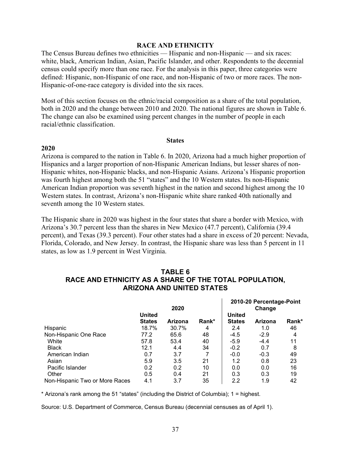#### **RACE AND ETHNICITY**

The Census Bureau defines two ethnicities — Hispanic and non-Hispanic — and six races: white, black, American Indian, Asian, Pacific Islander, and other. Respondents to the decennial census could specify more than one race. For the analysis in this paper, three categories were defined: Hispanic, non-Hispanic of one race, and non-Hispanic of two or more races. The non-Hispanic-of-one-race category is divided into the six races.

Most of this section focuses on the ethnic/racial composition as a share of the total population, both in 2020 and the change between 2010 and 2020. The national figures are shown in Table 6. The change can also be examined using percent changes in the number of people in each racial/ethnic classification.

#### **States**

#### **2020**

Arizona is compared to the nation in Table 6. In 2020, Arizona had a much higher proportion of Hispanics and a larger proportion of non-Hispanic American Indians, but lesser shares of non-Hispanic whites, non-Hispanic blacks, and non-Hispanic Asians. Arizona's Hispanic proportion was fourth highest among both the 51 "states" and the 10 Western states. Its non-Hispanic American Indian proportion was seventh highest in the nation and second highest among the 10 Western states. In contrast, Arizona's non-Hispanic white share ranked 40th nationally and seventh among the 10 Western states.

The Hispanic share in 2020 was highest in the four states that share a border with Mexico, with Arizona's 30.7 percent less than the shares in New Mexico (47.7 percent), California (39.4 percent), and Texas (39.3 percent). Four other states had a share in excess of 20 percent: Nevada, Florida, Colorado, and New Jersey. In contrast, the Hispanic share was less than 5 percent in 11 states, as low as 1.9 percent in West Virginia.

|       | RACE AND ETHNICITY AS A SHARE OF THE TOTAL POPULATION,<br><b>ARIZONA AND UNITED STATES</b> |         |       |                                |                                    |                   |
|-------|--------------------------------------------------------------------------------------------|---------|-------|--------------------------------|------------------------------------|-------------------|
|       |                                                                                            | 2020    |       |                                | 2010-20 Percentage-Point<br>Change |                   |
|       | <b>United</b><br><b>States</b>                                                             | Arizona | Rank* | <b>United</b><br><b>States</b> | Arizona                            | Rank <sup>*</sup> |
| panic | 18.7%                                                                                      | 30.7%   |       | 2.4                            |                                    | 46                |

# **TABLE 6 RACE AND ETHNICITY AS A SHARE OF THE TOTAL POPULATION,**

|                                |               | 2020    |       |               | Change  |       |
|--------------------------------|---------------|---------|-------|---------------|---------|-------|
|                                | <b>United</b> |         |       | <b>United</b> |         |       |
|                                | <b>States</b> | Arizona | Rank* | <b>States</b> | Arizona | Rank* |
| Hispanic                       | 18.7%         | 30.7%   | 4     | 2.4           | 1.0     | 46    |
| Non-Hispanic One Race          | 77.2          | 65.6    | 48    | $-4.5$        | $-2.9$  | 4     |
| White                          | 57.8          | 53.4    | 40    | $-5.9$        | $-4.4$  | 11    |
| <b>Black</b>                   | 12.1          | 4.4     | 34    | $-0.2$        | 0.7     | 8     |
| American Indian                | 0.7           | 3.7     |       | $-0.0$        | $-0.3$  | 49    |
| Asian                          | 5.9           | 3.5     | 21    | 1.2           | 0.8     | 23    |
| Pacific Islander               | 0.2           | 0.2     | 10    | 0.0           | 0.0     | 16    |
| Other                          | 0.5           | 0.4     | 21    | 0.3           | 0.3     | 19    |
| Non-Hispanic Two or More Races | 4.1           | 3.7     | 35    | 2.2           | 1.9     | 42    |

\* Arizona's rank among the 51 "states" (including the District of Columbia); 1 = highest.

Source: U.S. Department of Commerce, Census Bureau (decennial censuses as of April 1).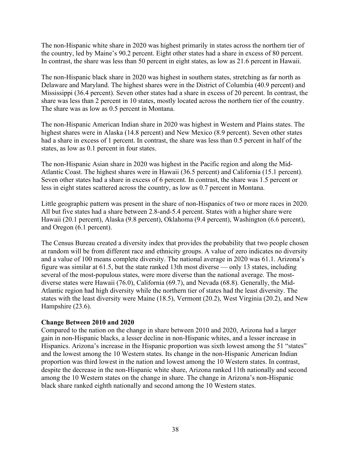The non-Hispanic white share in 2020 was highest primarily in states across the northern tier of the country, led by Maine's 90.2 percent. Eight other states had a share in excess of 80 percent. In contrast, the share was less than 50 percent in eight states, as low as 21.6 percent in Hawaii.

The non-Hispanic black share in 2020 was highest in southern states, stretching as far north as Delaware and Maryland. The highest shares were in the District of Columbia (40.9 percent) and Mississippi (36.4 percent). Seven other states had a share in excess of 20 percent. In contrast, the share was less than 2 percent in 10 states, mostly located across the northern tier of the country. The share was as low as 0.5 percent in Montana.

The non-Hispanic American Indian share in 2020 was highest in Western and Plains states. The highest shares were in Alaska (14.8 percent) and New Mexico (8.9 percent). Seven other states had a share in excess of 1 percent. In contrast, the share was less than 0.5 percent in half of the states, as low as 0.1 percent in four states.

The non-Hispanic Asian share in 2020 was highest in the Pacific region and along the Mid-Atlantic Coast. The highest shares were in Hawaii (36.5 percent) and California (15.1 percent). Seven other states had a share in excess of 6 percent. In contrast, the share was 1.5 percent or less in eight states scattered across the country, as low as 0.7 percent in Montana.

Little geographic pattern was present in the share of non-Hispanics of two or more races in 2020. All but five states had a share between 2.8-and-5.4 percent. States with a higher share were Hawaii (20.1 percent), Alaska (9.8 percent), Oklahoma (9.4 percent), Washington (6.6 percent), and Oregon (6.1 percent).

The Census Bureau created a diversity index that provides the probability that two people chosen at random will be from different race and ethnicity groups. A value of zero indicates no diversity and a value of 100 means complete diversity. The national average in 2020 was 61.1. Arizona's figure was similar at 61.5, but the state ranked 13th most diverse — only 13 states, including several of the most-populous states, were more diverse than the national average. The mostdiverse states were Hawaii (76.0), California (69.7), and Nevada (68.8). Generally, the Mid-Atlantic region had high diversity while the northern tier of states had the least diversity. The states with the least diversity were Maine (18.5), Vermont (20.2), West Virginia (20.2), and New Hampshire (23.6).

#### **Change Between 2010 and 2020**

Compared to the nation on the change in share between 2010 and 2020, Arizona had a larger gain in non-Hispanic blacks, a lesser decline in non-Hispanic whites, and a lesser increase in Hispanics. Arizona's increase in the Hispanic proportion was sixth lowest among the 51 "states" and the lowest among the 10 Western states. Its change in the non-Hispanic American Indian proportion was third lowest in the nation and lowest among the 10 Western states. In contrast, despite the decrease in the non-Hispanic white share, Arizona ranked 11th nationally and second among the 10 Western states on the change in share. The change in Arizona's non-Hispanic black share ranked eighth nationally and second among the 10 Western states.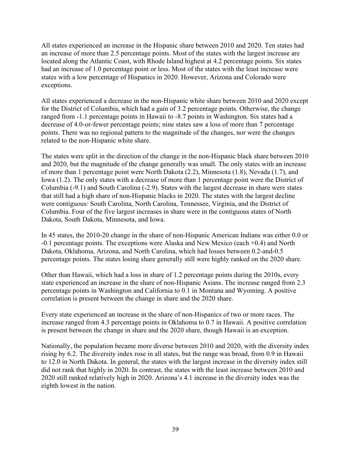All states experienced an increase in the Hispanic share between 2010 and 2020. Ten states had an increase of more than 2.5 percentage points. Most of the states with the largest increase are located along the Atlantic Coast, with Rhode Island highest at 4.2 percentage points. Six states had an increase of 1.0 percentage point or less. Most of the states with the least increase were states with a low percentage of Hispanics in 2020. However, Arizona and Colorado were exceptions.

All states experienced a decrease in the non-Hispanic white share between 2010 and 2020 except for the District of Columbia, which had a gain of 3.2 percentage points. Otherwise, the change ranged from -1.1 percentage points in Hawaii to -8.7 points in Washington. Six states had a decrease of 4.0-or-fewer percentage points; nine states saw a loss of more than 7 percentage points. There was no regional pattern to the magnitude of the changes, nor were the changes related to the non-Hispanic white share.

The states were split in the direction of the change in the non-Hispanic black share between 2010 and 2020, but the magnitude of the change generally was small. The only states with an increase of more than 1 percentage point were North Dakota (2.2), Minnesota (1.8), Nevada (1.7), and Iowa (1.2). The only states with a decrease of more than 1 percentage point were the District of Columbia (-9.1) and South Carolina (-2.9). States with the largest decrease in share were states that still had a high share of non-Hispanic blacks in 2020. The states with the largest decline were contiguous: South Carolina, North Carolina, Tennessee, Virginia, and the District of Columbia. Four of the five largest increases in share were in the contiguous states of North Dakota, South Dakota, Minnesota, and Iowa.

In 45 states, the 2010-20 change in the share of non-Hispanic American Indians was either 0.0 or -0.1 percentage points. The exceptions were Alaska and New Mexico (each +0.4) and North Dakota, Oklahoma, Arizona, and North Carolina, which had losses between 0.2-and-0.5 percentage points. The states losing share generally still were highly ranked on the 2020 share.

Other than Hawaii, which had a loss in share of 1.2 percentage points during the 2010s, every state experienced an increase in the share of non-Hispanic Asians. The increase ranged from 2.3 percentage points in Washington and California to 0.1 in Montana and Wyoming. A positive correlation is present between the change in share and the 2020 share.

Every state experienced an increase in the share of non-Hispanics of two or more races. The increase ranged from 4.3 percentage points in Oklahoma to 0.7 in Hawaii. A positive correlation is present between the change in share and the 2020 share, though Hawaii is an exception.

Nationally, the population became more diverse between 2010 and 2020, with the diversity index rising by 6.2. The diversity index rose in all states, but the range was broad, from 0.9 in Hawaii to 12.0 in North Dakota. In general, the states with the largest increase in the diversity index still did not rank that highly in 2020. In contrast, the states with the least increase between 2010 and 2020 still ranked relatively high in 2020. Arizona's 4.1 increase in the diversity index was the eighth lowest in the nation.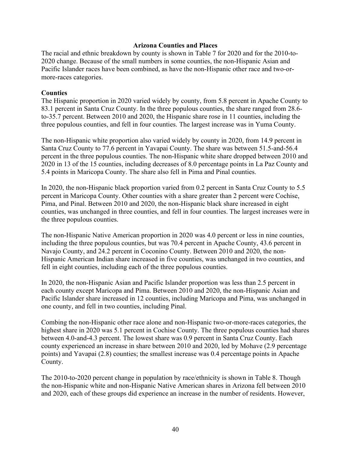#### **Arizona Counties and Places**

The racial and ethnic breakdown by county is shown in Table 7 for 2020 and for the 2010-to-2020 change. Because of the small numbers in some counties, the non-Hispanic Asian and Pacific Islander races have been combined, as have the non-Hispanic other race and two-ormore-races categories.

#### **Counties**

The Hispanic proportion in 2020 varied widely by county, from 5.8 percent in Apache County to 83.1 percent in Santa Cruz County. In the three populous counties, the share ranged from 28.6 to-35.7 percent. Between 2010 and 2020, the Hispanic share rose in 11 counties, including the three populous counties, and fell in four counties. The largest increase was in Yuma County.

The non-Hispanic white proportion also varied widely by county in 2020, from 14.9 percent in Santa Cruz County to 77.6 percent in Yavapai County. The share was between 51.5-and-56.4 percent in the three populous counties. The non-Hispanic white share dropped between 2010 and 2020 in 13 of the 15 counties, including decreases of 8.0 percentage points in La Paz County and 5.4 points in Maricopa County. The share also fell in Pima and Pinal counties.

In 2020, the non-Hispanic black proportion varied from 0.2 percent in Santa Cruz County to 5.5 percent in Maricopa County. Other counties with a share greater than 2 percent were Cochise, Pima, and Pinal. Between 2010 and 2020, the non-Hispanic black share increased in eight counties, was unchanged in three counties, and fell in four counties. The largest increases were in the three populous counties.

The non-Hispanic Native American proportion in 2020 was 4.0 percent or less in nine counties, including the three populous counties, but was 70.4 percent in Apache County, 43.6 percent in Navajo County, and 24.2 percent in Coconino County. Between 2010 and 2020, the non-Hispanic American Indian share increased in five counties, was unchanged in two counties, and fell in eight counties, including each of the three populous counties.

In 2020, the non-Hispanic Asian and Pacific Islander proportion was less than 2.5 percent in each county except Maricopa and Pima. Between 2010 and 2020, the non-Hispanic Asian and Pacific Islander share increased in 12 counties, including Maricopa and Pima, was unchanged in one county, and fell in two counties, including Pinal.

Combing the non-Hispanic other race alone and non-Hispanic two-or-more-races categories, the highest share in 2020 was 5.1 percent in Cochise County. The three populous counties had shares between 4.0-and-4.3 percent. The lowest share was 0.9 percent in Santa Cruz County. Each county experienced an increase in share between 2010 and 2020, led by Mohave (2.9 percentage points) and Yavapai (2.8) counties; the smallest increase was 0.4 percentage points in Apache County.

The 2010-to-2020 percent change in population by race/ethnicity is shown in Table 8. Though the non-Hispanic white and non-Hispanic Native American shares in Arizona fell between 2010 and 2020, each of these groups did experience an increase in the number of residents. However,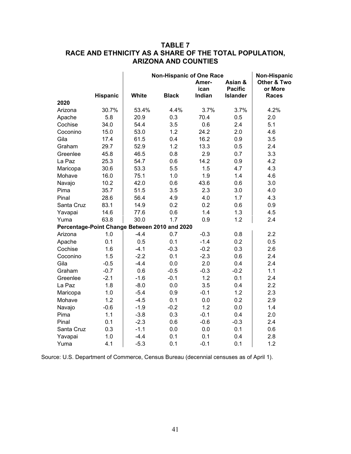## **TABLE 7 RACE AND ETHNICITY AS A SHARE OF THE TOTAL POPULATION, ARIZONA AND COUNTIES**

|            |                 | <b>Non-Hispanic of One Race</b>               | Non-Hispanic |                         |                                              |                                        |
|------------|-----------------|-----------------------------------------------|--------------|-------------------------|----------------------------------------------|----------------------------------------|
|            | <b>Hispanic</b> | <b>White</b>                                  | <b>Black</b> | Amer-<br>ican<br>Indian | Asian &<br><b>Pacific</b><br><b>Islander</b> | Other & Two<br>or More<br><b>Races</b> |
| 2020       |                 |                                               |              |                         |                                              |                                        |
| Arizona    | 30.7%           | 53.4%                                         | 4.4%         | 3.7%                    | 3.7%                                         | 4.2%                                   |
| Apache     | 5.8             | 20.9                                          | 0.3          | 70.4                    | 0.5                                          | 2.0                                    |
| Cochise    | 34.0            | 54.4                                          | 3.5          | 0.6                     | 2.4                                          | 5.1                                    |
| Coconino   | 15.0            | 53.0                                          | 1.2          | 24.2                    | 2.0                                          | 4.6                                    |
| Gila       | 17.4            | 61.5                                          | 0.4          | 16.2                    | 0.9                                          | 3.5                                    |
| Graham     | 29.7            | 52.9                                          | 1.2          | 13.3                    | 0.5                                          | 2.4                                    |
| Greenlee   | 45.8            | 46.5                                          | 0.8          | 2.9                     | 0.7                                          | 3.3                                    |
| La Paz     | 25.3            | 54.7                                          | 0.6          | 14.2                    | 0.9                                          | 4.2                                    |
| Maricopa   | 30.6            | 53.3                                          | 5.5          | 1.5                     | 4.7                                          | 4.3                                    |
| Mohave     | 16.0            | 75.1                                          | 1.0          | 1.9                     | 1.4                                          | 4.6                                    |
| Navajo     | 10.2            | 42.0                                          | 0.6          | 43.6                    | 0.6                                          | 3.0                                    |
| Pima       | 35.7            | 51.5                                          | 3.5          | 2.3                     | 3.0                                          | 4.0                                    |
| Pinal      | 28.6            | 56.4                                          | 4.9          | 4.0                     | 1.7                                          | 4.3                                    |
| Santa Cruz | 83.1            | 14.9                                          | 0.2          | 0.2                     | 0.6                                          | 0.9                                    |
| Yavapai    | 14.6            | 77.6                                          | 0.6          | 1.4                     | 1.3                                          | 4.5                                    |
| Yuma       | 63.8            | 30.0                                          | 1.7          | 0.9                     | 1.2                                          | 2.4                                    |
|            |                 | Percentage-Point Change Between 2010 and 2020 |              |                         |                                              |                                        |
| Arizona    | 1.0             | $-4.4$                                        | 0.7          | $-0.3$                  | 0.8                                          | 2.2                                    |
| Apache     | 0.1             | 0.5                                           | 0.1          | $-1.4$                  | 0.2                                          | 0.5                                    |
| Cochise    | 1.6             | $-4.1$                                        | $-0.3$       | $-0.2$                  | 0.3                                          | 2.6                                    |
| Coconino   | 1.5             | $-2.2$                                        | 0.1          | $-2.3$                  | 0.6                                          | 2.4                                    |
| Gila       | $-0.5$          | $-4.4$                                        | 0.0          | 2.0                     | 0.4                                          | 2.4                                    |
| Graham     | $-0.7$          | 0.6                                           | $-0.5$       | $-0.3$                  | $-0.2$                                       | 1.1                                    |
| Greenlee   | $-2.1$          | $-1.6$                                        | $-0.1$       | 1.2                     | 0.1                                          | 2.4                                    |
| La Paz     | 1.8             | $-8.0$                                        | 0.0          | 3.5                     | 0.4                                          | 2.2                                    |
| Maricopa   | 1.0             | $-5.4$                                        | 0.9          | $-0.1$                  | 1.2                                          | 2.3                                    |
| Mohave     | 1.2             | $-4.5$                                        | 0.1          | 0.0                     | 0.2                                          | 2.9                                    |
| Navajo     | $-0.6$          | $-1.9$                                        | $-0.2$       | 1.2                     | 0.0                                          | 1.4                                    |
| Pima       | 1.1             | $-3.8$                                        | 0.3          | $-0.1$                  | 0.4                                          | 2.0                                    |
| Pinal      | 0.1             | $-2.3$                                        | 0.6          | $-0.6$                  | $-0.3$                                       | 2.4                                    |
| Santa Cruz | 0.3             | $-1.1$                                        | 0.0          | 0.0                     | 0.1                                          | 0.6                                    |
| Yavapai    | 1.0             | $-4.4$                                        | 0.1          | 0.1                     | 0.4                                          | 2.8                                    |
| Yuma       | 4.1             | $-5.3$                                        | 0.1          | $-0.1$                  | 0.1                                          | 1.2                                    |

Source: U.S. Department of Commerce, Census Bureau (decennial censuses as of April 1).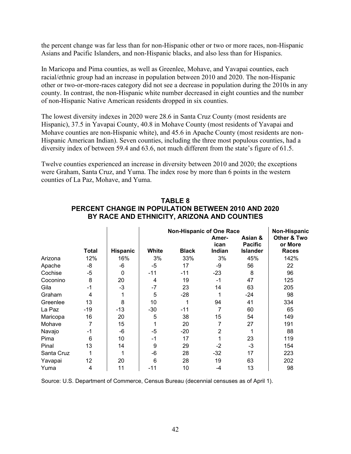the percent change was far less than for non-Hispanic other or two or more races, non-Hispanic Asians and Pacific Islanders, and non-Hispanic blacks, and also less than for Hispanics.

In Maricopa and Pima counties, as well as Greenlee, Mohave, and Yavapai counties, each racial/ethnic group had an increase in population between 2010 and 2020. The non-Hispanic other or two-or-more-races category did not see a decrease in population during the 2010s in any county. In contrast, the non-Hispanic white number decreased in eight counties and the number of non-Hispanic Native American residents dropped in six counties.

The lowest diversity indexes in 2020 were 28.6 in Santa Cruz County (most residents are Hispanic), 37.5 in Yavapai County, 40.8 in Mohave County (most residents of Yavapai and Mohave counties are non-Hispanic white), and 45.6 in Apache County (most residents are non-Hispanic American Indian). Seven counties, including the three most populous counties, had a diversity index of between 59.4 and 63.6, not much different from the state's figure of 61.5.

Twelve counties experienced an increase in diversity between 2010 and 2020; the exceptions were Graham, Santa Cruz, and Yuma. The index rose by more than 6 points in the western counties of La Paz, Mohave, and Yuma.

|            |       |              |       | Non-Hispanic                    |               |                           |                        |
|------------|-------|--------------|-------|---------------------------------|---------------|---------------------------|------------------------|
|            |       |              |       | <b>Non-Hispanic of One Race</b> | Amer-<br>ican | Asian &<br><b>Pacific</b> | Other & Two<br>or More |
|            | Total | Hispanic     | White | <b>Black</b>                    | Indian        | <b>Islander</b>           | <b>Races</b>           |
| Arizona    | 12%   | 16%          | 3%    | 33%                             | 3%            | 45%                       | 142%                   |
| Apache     | -8    | -6           | $-5$  | 17                              | -9            | 56                        | 22                     |
| Cochise    | $-5$  | $\mathbf{0}$ | $-11$ | $-11$                           | $-23$         | 8                         | 96                     |
| Coconino   | 8     | 20           | 4     | 19                              | $-1$          | 47                        | 125                    |
| Gila       | $-1$  | $-3$         | -7    | 23                              | 14            | 63                        | 205                    |
| Graham     | 4     |              | 5     | $-28$                           |               | -24                       | 98                     |
| Greenlee   | 13    | 8            | 10    |                                 | 94            | 41                        | 334                    |
| La Paz     | $-19$ | $-13$        | $-30$ | $-11$                           | 7             | 60                        | 65                     |
| Maricopa   | 16    | 20           | 5     | 38                              | 15            | 54                        | 149                    |
| Mohave     | 7     | 15           |       | 20                              | 7             | 27                        | 191                    |
| Navajo     | $-1$  | -6           | $-5$  | $-20$                           | 2             |                           | 88                     |
| Pima       | 6     | 10           | -1    | 17                              |               | 23                        | 119                    |
| Pinal      | 13    | 14           | 9     | 29                              | $-2$          | -3                        | 154                    |
| Santa Cruz | 1     | 1            | -6    | 28                              | $-32$         | 17                        | 223                    |
| Yavapai    | 12    | 20           | 6     | 28                              | 19            | 63                        | 202                    |
| Yuma       | 4     | 11           | -11   | 10                              | $-4$          | 13                        | 98                     |

## **TABLE 8 PERCENT CHANGE IN POPULATION BETWEEN 2010 AND 2020 BY RACE AND ETHNICITY, ARIZONA AND COUNTIES**

Source: U.S. Department of Commerce, Census Bureau (decennial censuses as of April 1).